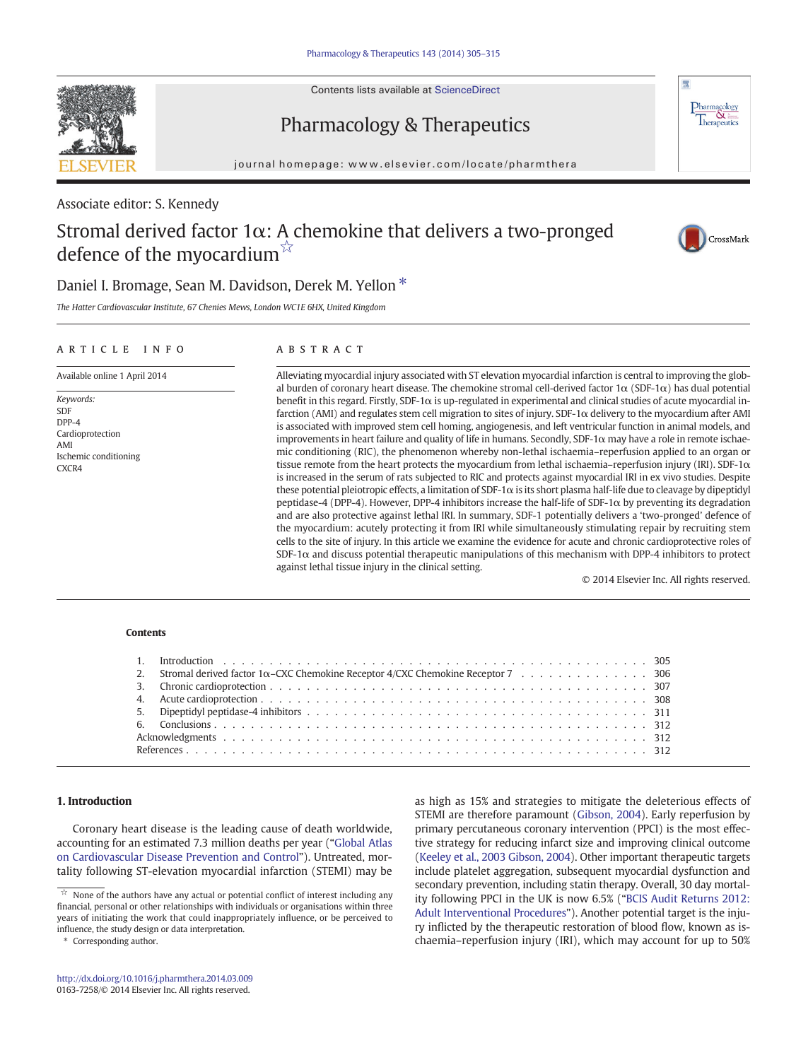Contents lists available at ScienceDirect

# Pharmacology & Therapeutics

journal homepage: www.elsevier.com/locate/pharmthera

Associate editor: S. Kennedy

## Stromal derived factor  $1\alpha$ : A chemokine that delivers a two-pronged defence of the myocardium $\mathbb{X}$



 $\frac{\text{Pharmacology}}{\text{Therapeutics}}$ 

## Daniel I. Bromage, Sean M. Davidson, Derek M. Yellon<sup>\*</sup>

The Hatter Cardiovascular Institute, 67 Chenies Mews, London WC1E 6HX, United Kingdom

### article info abstract

Available online 1 April 2014

Keywords: SDF  $DPP-4$ Cardioprotection AMI Ischemic conditioning CXCR4

Alleviating myocardial injury associated with ST elevation myocardial infarction is central to improving the global burden of coronary heart disease. The chemokine stromal cell-derived factor  $1\alpha$  (SDF-1 $\alpha$ ) has dual potential benefit in this regard. Firstly, SDF-1α is up-regulated in experimental and clinical studies of acute myocardial infarction (AMI) and regulates stem cell migration to sites of injury. SDF-1α delivery to the myocardium after AMI is associated with improved stem cell homing, angiogenesis, and left ventricular function in animal models, and improvements in heart failure and quality of life in humans. Secondly, SDF-1 $\alpha$  may have a role in remote ischaemic conditioning (RIC), the phenomenon whereby non-lethal ischaemia–reperfusion applied to an organ or tissue remote from the heart protects the myocardium from lethal ischaemia–reperfusion injury (IRI). SDF-1 $\alpha$ is increased in the serum of rats subjected to RIC and protects against myocardial IRI in ex vivo studies. Despite these potential pleiotropic effects, a limitation of SDF-1α is its short plasma half-life due to cleavage by dipeptidyl peptidase-4 (DPP-4). However, DPP-4 inhibitors increase the half-life of SDF-1α by preventing its degradation and are also protective against lethal IRI. In summary, SDF-1 potentially delivers a 'two-pronged' defence of the myocardium: acutely protecting it from IRI while simultaneously stimulating repair by recruiting stem cells to the site of injury. In this article we examine the evidence for acute and chronic cardioprotective roles of SDF-1α and discuss potential therapeutic manipulations of this mechanism with DPP-4 inhibitors to protect against lethal tissue injury in the clinical setting.

© 2014 Elsevier Inc. All rights reserved.

#### **Contents**

| 2. Stromal derived factor $1\alpha$ –CXC Chemokine Receptor 4/CXC Chemokine Receptor 7 306 |
|--------------------------------------------------------------------------------------------|
|                                                                                            |
|                                                                                            |
|                                                                                            |
|                                                                                            |
|                                                                                            |
|                                                                                            |

#### 1. Introduction

Coronary heart disease is the leading cause of death worldwide, accounting for an estimated 7.3 million deaths per year ("Global Atlas on Cardiovascular Disease Prevention and Control"). Untreated, mortality following ST-elevation myocardial infarction (STEMI) may be

Corresponding author.

as high as 15% and strategies to mitigate the deleterious effects of STEMI are therefore paramount (Gibson, 2004). Early reperfusion by primary percutaneous coronary intervention (PPCI) is the most effective strategy for reducing infarct size and improving clinical outcome (Keeley et al., 2003 Gibson, 2004). Other important therapeutic targets include platelet aggregation, subsequent myocardial dysfunction and secondary prevention, including statin therapy. Overall, 30 day mortality following PPCI in the UK is now 6.5% ("[BCIS Audit Returns 2012:](#page-7-0) Adult Interventional Procedures"). Another potential target is the injury inflicted by the therapeutic restoration of blood flow, known as ischaemia–reperfusion injury (IRI), which may account for up to 50% 312<http://dx.doi.org/10.1016/j.pharmthera.2014.03.009>

 $\dot{\mathbb{X}}$  None of the authors have any actual or potential conflict of interest including any financial, personal or other relationships with individuals or organisations within three years of initiating the work that could inappropriately influence, or be perceived to influence, the study design or data interpretation.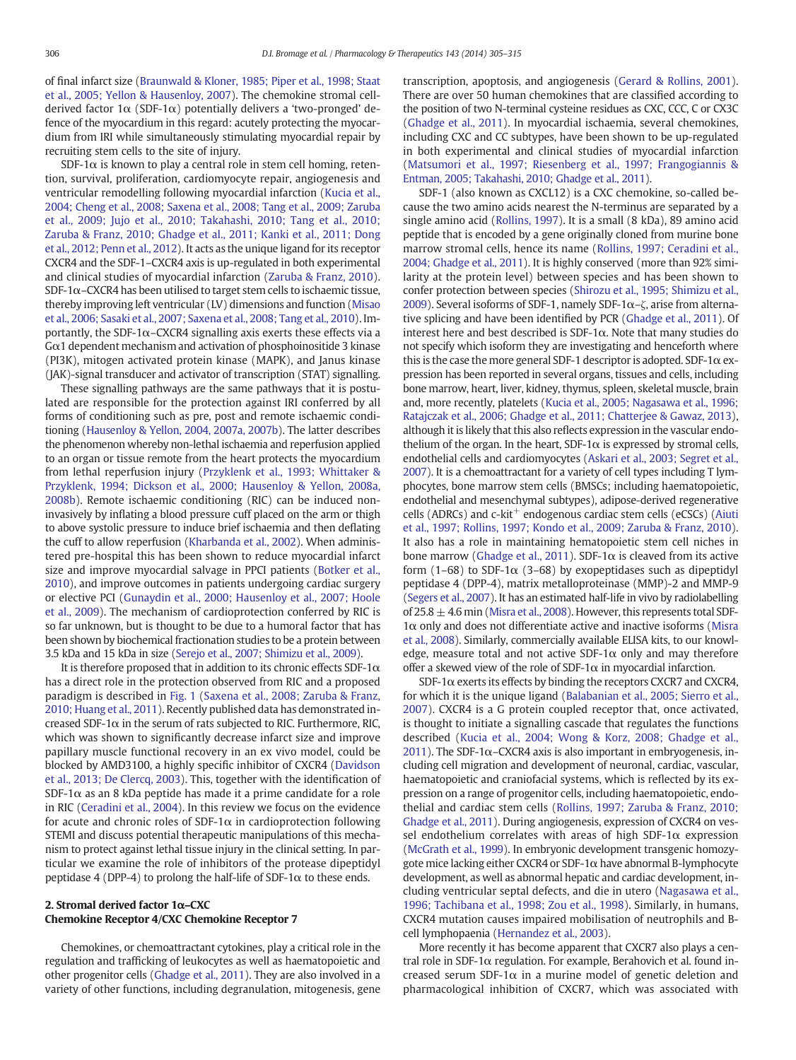of final infarct size ([Braunwald & Kloner, 1985; Piper et al., 1998; Staat](#page-7-0) [et al., 2005; Yellon & Hausenloy, 2007\)](#page-7-0). The chemokine stromal cellderived factor  $1\alpha$  (SDF-1 $\alpha$ ) potentially delivers a 'two-pronged' defence of the myocardium in this regard: acutely protecting the myocardium from IRI while simultaneously stimulating myocardial repair by recruiting stem cells to the site of injury.

SDF-1 $\alpha$  is known to play a central role in stem cell homing, retention, survival, proliferation, cardiomyocyte repair, angiogenesis and ventricular remodelling following myocardial infarction [\(Kucia et al.,](#page-9-0) [2004; Cheng et al., 2008; Saxena et al., 2008; Tang et al., 2009; Zaruba](#page-9-0) [et al., 2009; Jujo et al., 2010; Takahashi, 2010; Tang et al., 2010;](#page-9-0) [Zaruba & Franz, 2010; Ghadge et al., 2011; Kanki et al., 2011; Dong](#page-9-0) [et al., 2012; Penn et al., 2012](#page-9-0)). It acts as the unique ligand for its receptor CXCR4 and the SDF-1–CXCR4 axis is up-regulated in both experimental and clinical studies of myocardial infarction ([Zaruba & Franz, 2010](#page-10-0)). SDF-1 $\alpha$ –CXCR4 has been utilised to target stem cells to ischaemic tissue, thereby improving left ventricular (LV) dimensions and function ([Misao](#page-9-0) [et al., 2006; Sasaki et al., 2007; Saxena et al., 2008; Tang et al., 2010](#page-9-0)). Importantly, the SDF-1 $\alpha$ –CXCR4 signalling axis exerts these effects via a Gα1 dependent mechanism and activation of phosphoinositide 3 kinase (PI3K), mitogen activated protein kinase (MAPK), and Janus kinase (JAK)-signal transducer and activator of transcription (STAT) signalling.

These signalling pathways are the same pathways that it is postulated are responsible for the protection against IRI conferred by all forms of conditioning such as pre, post and remote ischaemic conditioning ([Hausenloy & Yellon, 2004, 2007a, 2007b\)](#page-8-0). The latter describes the phenomenon whereby non-lethal ischaemia and reperfusion applied to an organ or tissue remote from the heart protects the myocardium from lethal reperfusion injury [\(Przyklenk et al., 1993; Whittaker &](#page-9-0) [Przyklenk, 1994; Dickson et al., 2000; Hausenloy & Yellon, 2008a,](#page-9-0) [2008b\)](#page-9-0). Remote ischaemic conditioning (RIC) can be induced noninvasively by inflating a blood pressure cuff placed on the arm or thigh to above systolic pressure to induce brief ischaemia and then deflating the cuff to allow reperfusion [\(Kharbanda et al., 2002\)](#page-9-0). When administered pre-hospital this has been shown to reduce myocardial infarct size and improve myocardial salvage in PPCI patients [\(Botker et al.,](#page-7-0) [2010\)](#page-7-0), and improve outcomes in patients undergoing cardiac surgery or elective PCI ([Gunaydin et al., 2000; Hausenloy et al., 2007; Hoole](#page-8-0) [et al., 2009](#page-8-0)). The mechanism of cardioprotection conferred by RIC is so far unknown, but is thought to be due to a humoral factor that has been shown by biochemical fractionation studies to be a protein between 3.5 kDa and 15 kDa in size ([Serejo et al., 2007; Shimizu et al., 2009\)](#page-10-0).

It is therefore proposed that in addition to its chronic effects SDF-1 $\alpha$ has a direct role in the protection observed from RIC and a proposed paradigm is described in [Fig. 1](#page-2-0) ([Saxena et al., 2008; Zaruba & Franz,](#page-10-0) [2010; Huang et al., 2011\)](#page-10-0). Recently published data has demonstrated increased SDF-1 $\alpha$  in the serum of rats subjected to RIC. Furthermore, RIC, which was shown to significantly decrease infarct size and improve papillary muscle functional recovery in an ex vivo model, could be blocked by AMD3100, a highly specific inhibitor of CXCR4 ([Davidson](#page-8-0) [et al., 2013; De Clercq, 2003](#page-8-0)). This, together with the identification of SDF-1 $\alpha$  as an 8 kDa peptide has made it a prime candidate for a role in RIC ([Ceradini et al., 2004\)](#page-7-0). In this review we focus on the evidence for acute and chronic roles of SDF-1 $\alpha$  in cardioprotection following STEMI and discuss potential therapeutic manipulations of this mechanism to protect against lethal tissue injury in the clinical setting. In particular we examine the role of inhibitors of the protease dipeptidyl peptidase 4 (DPP-4) to prolong the half-life of SDF-1 $\alpha$  to these ends.

#### 2. Stromal derived factor 1α–CXC Chemokine Receptor 4/CXC Chemokine Receptor 7

Chemokines, or chemoattractant cytokines, play a critical role in the regulation and trafficking of leukocytes as well as haematopoietic and other progenitor cells ([Ghadge et al., 2011](#page-8-0)). They are also involved in a variety of other functions, including degranulation, mitogenesis, gene transcription, apoptosis, and angiogenesis [\(Gerard & Rollins, 2001](#page-8-0)). There are over 50 human chemokines that are classified according to the position of two N-terminal cysteine residues as CXC, CCC, C or CX3C [\(Ghadge et al., 2011\)](#page-8-0). In myocardial ischaemia, several chemokines, including CXC and CC subtypes, have been shown to be up-regulated in both experimental and clinical studies of myocardial infarction [\(Matsumori et al., 1997; Riesenberg et al., 1997; Frangogiannis &](#page-9-0) [Entman, 2005; Takahashi, 2010; Ghadge et al., 2011\)](#page-9-0).

SDF-1 (also known as CXCL12) is a CXC chemokine, so-called because the two amino acids nearest the N-terminus are separated by a single amino acid [\(Rollins, 1997\)](#page-9-0). It is a small (8 kDa), 89 amino acid peptide that is encoded by a gene originally cloned from murine bone marrow stromal cells, hence its name ([Rollins, 1997; Ceradini et al.,](#page-9-0) [2004; Ghadge et al., 2011\)](#page-9-0). It is highly conserved (more than 92% similarity at the protein level) between species and has been shown to confer protection between species ([Shirozu et al., 1995; Shimizu et al.,](#page-10-0) [2009\)](#page-10-0). Several isoforms of SDF-1, namely SDF-1 $\alpha$ -ζ, arise from alternative splicing and have been identified by PCR ([Ghadge et al., 2011](#page-8-0)). Of interest here and best described is  $SDF-1\alpha$ . Note that many studies do not specify which isoform they are investigating and henceforth where this is the case the more general SDF-1 descriptor is adopted. SDF-1 $\alpha$  expression has been reported in several organs, tissues and cells, including bone marrow, heart, liver, kidney, thymus, spleen, skeletal muscle, brain and, more recently, platelets [\(Kucia et al., 2005; Nagasawa et al., 1996;](#page-9-0) [Ratajczak et al., 2006; Ghadge et al., 2011; Chatterjee & Gawaz, 2013](#page-9-0)), although it is likely that this also reflects expression in the vascular endothelium of the organ. In the heart,  $SDF-1\alpha$  is expressed by stromal cells, endothelial cells and cardiomyocytes [\(Askari et al., 2003; Segret et al.,](#page-7-0) [2007](#page-7-0)). It is a chemoattractant for a variety of cell types including T lymphocytes, bone marrow stem cells (BMSCs; including haematopoietic, endothelial and mesenchymal subtypes), adipose-derived regenerative cells (ADRCs) and  $c$ -kit<sup>+</sup> endogenous cardiac stem cells (eCSCs) ([Aiuti](#page-7-0) [et al., 1997; Rollins, 1997; Kondo et al., 2009; Zaruba & Franz, 2010](#page-7-0)). It also has a role in maintaining hematopoietic stem cell niches in bone marrow ([Ghadge et al., 2011\)](#page-8-0). SDF-1 $α$  is cleaved from its active form (1–68) to SDF-1 $\alpha$  (3–68) by exopeptidases such as dipeptidyl peptidase 4 (DPP-4), matrix metalloproteinase (MMP)-2 and MMP-9 [\(Segers et al., 2007\)](#page-10-0). It has an estimated half-life in vivo by radiolabelling of  $25.8 \pm 4.6$  min [\(Misra et al., 2008](#page-9-0)). However, this represents total SDF- $1\alpha$  only and does not differentiate active and inactive isoforms ([Misra](#page-9-0) [et al., 2008](#page-9-0)). Similarly, commercially available ELISA kits, to our knowledge, measure total and not active SDF-1 $\alpha$  only and may therefore offer a skewed view of the role of SDF-1 $\alpha$  in myocardial infarction.

SDF-1 $\alpha$  exerts its effects by binding the receptors CXCR7 and CXCR4, for which it is the unique ligand ([Balabanian et al., 2005; Sierro et al.,](#page-7-0) [2007](#page-7-0)). CXCR4 is a G protein coupled receptor that, once activated, is thought to initiate a signalling cascade that regulates the functions described ([Kucia et al., 2004; Wong & Korz, 2008; Ghadge et al.,](#page-9-0) [2011\)](#page-9-0). The SDF-1 $\alpha$ -CXCR4 axis is also important in embryogenesis, including cell migration and development of neuronal, cardiac, vascular, haematopoietic and craniofacial systems, which is reflected by its expression on a range of progenitor cells, including haematopoietic, endothelial and cardiac stem cells ([Rollins, 1997; Zaruba & Franz, 2010;](#page-9-0) [Ghadge et al., 2011](#page-9-0)). During angiogenesis, expression of CXCR4 on vessel endothelium correlates with areas of high SDF-1 $\alpha$  expression [\(McGrath et al., 1999\)](#page-9-0). In embryonic development transgenic homozygote mice lacking either CXCR4 or SDF-1α have abnormal B-lymphocyte development, as well as abnormal hepatic and cardiac development, including ventricular septal defects, and die in utero ([Nagasawa et al.,](#page-9-0) [1996; Tachibana et al., 1998; Zou et al., 1998](#page-9-0)). Similarly, in humans, CXCR4 mutation causes impaired mobilisation of neutrophils and Bcell lymphopaenia [\(Hernandez et al., 2003\)](#page-8-0).

More recently it has become apparent that CXCR7 also plays a central role in SDF-1α regulation. For example, Berahovich et al. found increased serum SDF-1 $\alpha$  in a murine model of genetic deletion and pharmacological inhibition of CXCR7, which was associated with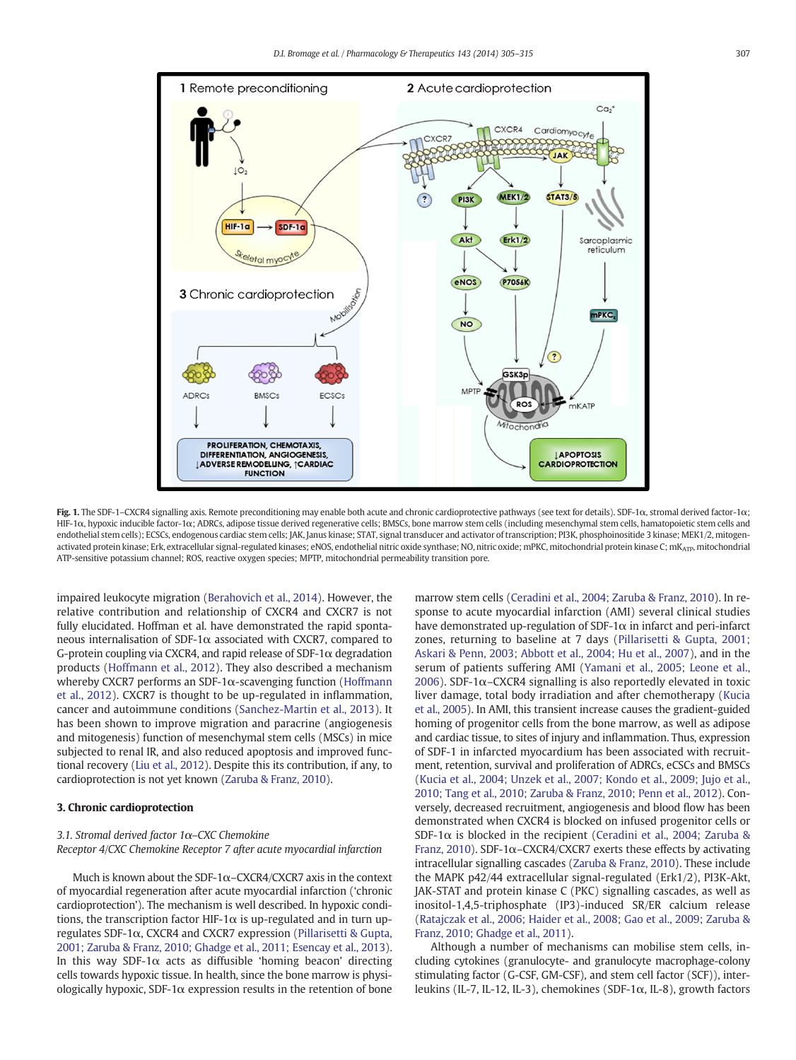<span id="page-2-0"></span>

Fig. 1. The SDF-1-CXCR4 signalling axis. Remote preconditioning may enable both acute and chronic cardioprotective pathways (see text for details). SDF-1α, stromal derived factor-1α; HIF-1α, hypoxic inducible factor-1α; ADRCs, adipose tissue derived regenerative cells; BMSCs, bone marrow stem cells (including mesenchymal stem cells, hamatopoietic stem cells and endothelial stem cells); ECSCs, endogenous cardiac stem cells; JAK, Janus kinase; STAT, signal transducer and activator of transcription; PI3K, phosphoinositide 3 kinase; MEK1/2, mitogenactivated protein kinase; Erk, extracellular signal-regulated kinases; eNOS, endothelial nitric oxide synthase; NO, nitric oxide; mPKC, mitochondrial protein kinase C; mK<sub>ATP</sub>, mitochondrial ATP-sensitive potassium channel; ROS, reactive oxygen species; MPTP, mitochondrial permeability transition pore.

impaired leukocyte migration ([Berahovich et al., 2014\)](#page-7-0). However, the relative contribution and relationship of CXCR4 and CXCR7 is not fully elucidated. Hoffman et al. have demonstrated the rapid spontaneous internalisation of SDF-1α associated with CXCR7, compared to G-protein coupling via CXCR4, and rapid release of SDF-1 $\alpha$  degradation products [\(Hoffmann et al., 2012](#page-8-0)). They also described a mechanism whereby CXCR7 performs an SDF-1α-scavenging function [\(Hoffmann](#page-8-0) [et al., 2012\)](#page-8-0). CXCR7 is thought to be up-regulated in inflammation, cancer and autoimmune conditions [\(Sanchez-Martin et al., 2013](#page-10-0)). It has been shown to improve migration and paracrine (angiogenesis and mitogenesis) function of mesenchymal stem cells (MSCs) in mice subjected to renal IR, and also reduced apoptosis and improved functional recovery [\(Liu et al., 2012\)](#page-9-0). Despite this its contribution, if any, to cardioprotection is not yet known ([Zaruba & Franz, 2010\)](#page-10-0).

#### 3. Chronic cardioprotection

#### 3.1. Stromal derived factor 1α–CXC Chemokine Receptor 4/CXC Chemokine Receptor 7 after acute myocardial infarction

Much is known about the SDF-1 $\alpha$ –CXCR4/CXCR7 axis in the context of myocardial regeneration after acute myocardial infarction ('chronic cardioprotection'). The mechanism is well described. In hypoxic conditions, the transcription factor HIF-1 $\alpha$  is up-regulated and in turn upregulates SDF-1α, CXCR4 and CXCR7 expression [\(Pillarisetti & Gupta,](#page-9-0) [2001; Zaruba & Franz, 2010; Ghadge et al., 2011; Esencay et al., 2013](#page-9-0)). In this way SDF-1 $\alpha$  acts as diffusible 'homing beacon' directing cells towards hypoxic tissue. In health, since the bone marrow is physiologically hypoxic, SDF-1 $\alpha$  expression results in the retention of bone

marrow stem cells [\(Ceradini et al., 2004; Zaruba & Franz, 2010](#page-7-0)). In response to acute myocardial infarction (AMI) several clinical studies have demonstrated up-regulation of SDF-1 $\alpha$  in infarct and peri-infarct zones, returning to baseline at 7 days ([Pillarisetti & Gupta, 2001;](#page-9-0) [Askari & Penn, 2003; Abbott et al., 2004; Hu et al., 2007](#page-9-0)), and in the serum of patients suffering AMI [\(Yamani et al., 2005; Leone et al.,](#page-10-0) [2006\)](#page-10-0). SDF-1 $\alpha$ –CXCR4 signalling is also reportedly elevated in toxic liver damage, total body irradiation and after chemotherapy [\(Kucia](#page-9-0) [et al., 2005](#page-9-0)). In AMI, this transient increase causes the gradient-guided homing of progenitor cells from the bone marrow, as well as adipose and cardiac tissue, to sites of injury and inflammation. Thus, expression of SDF-1 in infarcted myocardium has been associated with recruitment, retention, survival and proliferation of ADRCs, eCSCs and BMSCs [\(Kucia et al., 2004; Unzek et al., 2007; Kondo et al., 2009; Jujo et al.,](#page-9-0) [2010; Tang et al., 2010; Zaruba & Franz, 2010; Penn et al., 2012](#page-9-0)). Conversely, decreased recruitment, angiogenesis and blood flow has been demonstrated when CXCR4 is blocked on infused progenitor cells or SDF-1 $\alpha$  is blocked in the recipient [\(Ceradini et al., 2004; Zaruba &](#page-7-0) [Franz, 2010](#page-7-0)). SDF-1α–CXCR4/CXCR7 exerts these effects by activating intracellular signalling cascades [\(Zaruba & Franz, 2010](#page-10-0)). These include the MAPK p42/44 extracellular signal-regulated (Erk1/2), PI3K-Akt, JAK-STAT and protein kinase C (PKC) signalling cascades, as well as inositol-1,4,5-triphosphate (IP3)-induced SR/ER calcium release [\(Ratajczak et al., 2006; Haider et al., 2008; Gao et al., 2009; Zaruba &](#page-9-0) [Franz, 2010; Ghadge et al., 2011](#page-9-0)).

Although a number of mechanisms can mobilise stem cells, including cytokines (granulocyte- and granulocyte macrophage-colony stimulating factor (G-CSF, GM-CSF), and stem cell factor (SCF)), interleukins (IL-7, IL-12, IL-3), chemokines (SDF-1α, IL-8), growth factors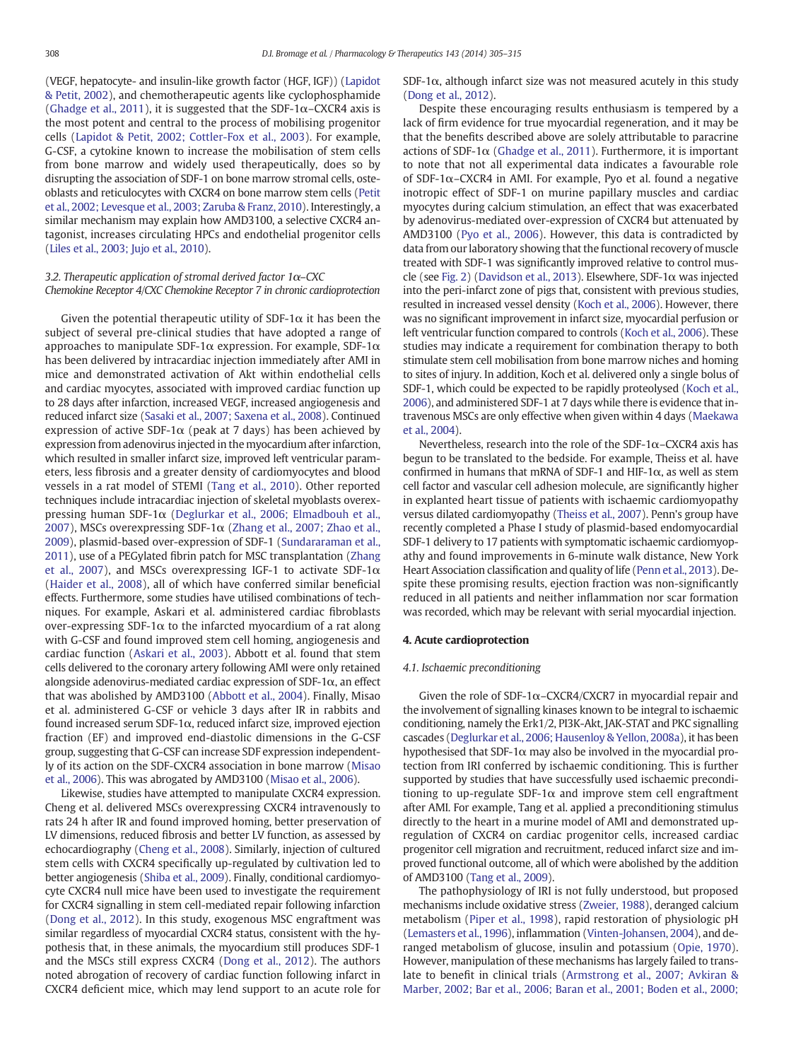(VEGF, hepatocyte- and insulin-like growth factor (HGF, IGF)) [\(Lapidot](#page-9-0) [& Petit, 2002](#page-9-0)), and chemotherapeutic agents like cyclophosphamide [\(Ghadge et al., 2011](#page-8-0)), it is suggested that the SDF-1 $\alpha$ –CXCR4 axis is the most potent and central to the process of mobilising progenitor cells ([Lapidot & Petit, 2002; Cottler-Fox et al., 2003](#page-9-0)). For example, G-CSF, a cytokine known to increase the mobilisation of stem cells from bone marrow and widely used therapeutically, does so by disrupting the association of SDF-1 on bone marrow stromal cells, osteoblasts and reticulocytes with CXCR4 on bone marrow stem cells [\(Petit](#page-9-0) [et al., 2002; Levesque et al., 2003; Zaruba & Franz, 2010\)](#page-9-0). Interestingly, a similar mechanism may explain how AMD3100, a selective CXCR4 antagonist, increases circulating HPCs and endothelial progenitor cells [\(Liles et al., 2003; Jujo et al., 2010\)](#page-9-0).

#### 3.2. Therapeutic application of stromal derived factor  $1\alpha$ –CXC Chemokine Receptor 4/CXC Chemokine Receptor 7 in chronic cardioprotection

Given the potential therapeutic utility of  $SDF-1\alpha$  it has been the subject of several pre-clinical studies that have adopted a range of approaches to manipulate SDF-1 $\alpha$  expression. For example, SDF-1 $\alpha$ has been delivered by intracardiac injection immediately after AMI in mice and demonstrated activation of Akt within endothelial cells and cardiac myocytes, associated with improved cardiac function up to 28 days after infarction, increased VEGF, increased angiogenesis and reduced infarct size [\(Sasaki et al., 2007; Saxena et al., 2008\)](#page-10-0). Continued expression of active SDF-1 $\alpha$  (peak at 7 days) has been achieved by expression from adenovirus injected in the myocardium after infarction, which resulted in smaller infarct size, improved left ventricular parameters, less fibrosis and a greater density of cardiomyocytes and blood vessels in a rat model of STEMI [\(Tang et al., 2010\)](#page-10-0). Other reported techniques include intracardiac injection of skeletal myoblasts overexpressing human SDF-1α [\(Deglurkar et al., 2006; Elmadbouh et al.,](#page-8-0) [2007](#page-8-0)), MSCs overexpressing SDF-1 $\alpha$  [\(Zhang et al., 2007; Zhao et al.,](#page-10-0) [2009\)](#page-10-0), plasmid-based over-expression of SDF-1 ([Sundararaman et al.,](#page-10-0) [2011\)](#page-10-0), use of a PEGylated fibrin patch for MSC transplantation ([Zhang](#page-10-0) [et al., 2007\)](#page-10-0), and MSCs overexpressing IGF-1 to activate SDF-1 $\alpha$ [\(Haider et al., 2008\)](#page-8-0), all of which have conferred similar beneficial effects. Furthermore, some studies have utilised combinations of techniques. For example, Askari et al. administered cardiac fibroblasts over-expressing SDF-1 $\alpha$  to the infarcted myocardium of a rat along with G-CSF and found improved stem cell homing, angiogenesis and cardiac function ([Askari et al., 2003](#page-7-0)). Abbott et al. found that stem cells delivered to the coronary artery following AMI were only retained alongside adenovirus-mediated cardiac expression of SDF-1 $\alpha$ , an effect that was abolished by AMD3100 [\(Abbott et al., 2004\)](#page-7-0). Finally, Misao et al. administered G-CSF or vehicle 3 days after IR in rabbits and found increased serum SDF-1 $\alpha$ , reduced infarct size, improved ejection fraction (EF) and improved end-diastolic dimensions in the G-CSF group, suggesting that G-CSF can increase SDF expression independently of its action on the SDF-CXCR4 association in bone marrow [\(Misao](#page-9-0) [et al., 2006](#page-9-0)). This was abrogated by AMD3100 [\(Misao et al., 2006](#page-9-0)).

Likewise, studies have attempted to manipulate CXCR4 expression. Cheng et al. delivered MSCs overexpressing CXCR4 intravenously to rats 24 h after IR and found improved homing, better preservation of LV dimensions, reduced fibrosis and better LV function, as assessed by echocardiography [\(Cheng et al., 2008](#page-7-0)). Similarly, injection of cultured stem cells with CXCR4 specifically up-regulated by cultivation led to better angiogenesis [\(Shiba et al., 2009\)](#page-10-0). Finally, conditional cardiomyocyte CXCR4 null mice have been used to investigate the requirement for CXCR4 signalling in stem cell-mediated repair following infarction [\(Dong et al., 2012\)](#page-8-0). In this study, exogenous MSC engraftment was similar regardless of myocardial CXCR4 status, consistent with the hypothesis that, in these animals, the myocardium still produces SDF-1 and the MSCs still express CXCR4 [\(Dong et al., 2012\)](#page-8-0). The authors noted abrogation of recovery of cardiac function following infarct in CXCR4 deficient mice, which may lend support to an acute role for SDF-1 $\alpha$ , although infarct size was not measured acutely in this study [\(Dong et al., 2012\)](#page-8-0).

Despite these encouraging results enthusiasm is tempered by a lack of firm evidence for true myocardial regeneration, and it may be that the benefits described above are solely attributable to paracrine actions of SDF-1 $\alpha$  ([Ghadge et al., 2011](#page-8-0)). Furthermore, it is important to note that not all experimental data indicates a favourable role of SDF-1 $\alpha$ –CXCR4 in AMI. For example, Pyo et al. found a negative inotropic effect of SDF-1 on murine papillary muscles and cardiac myocytes during calcium stimulation, an effect that was exacerbated by adenovirus-mediated over-expression of CXCR4 but attenuated by AMD3100 [\(Pyo et al., 2006](#page-9-0)). However, this data is contradicted by data from our laboratory showing that the functional recovery of muscle treated with SDF-1 was significantly improved relative to control muscle (see [Fig. 2](#page-4-0)) [\(Davidson et al., 2013\)](#page-8-0). Elsewhere, SDF-1α was injected into the peri-infarct zone of pigs that, consistent with previous studies, resulted in increased vessel density [\(Koch et al., 2006\)](#page-9-0). However, there was no significant improvement in infarct size, myocardial perfusion or left ventricular function compared to controls ([Koch et al., 2006](#page-9-0)). These studies may indicate a requirement for combination therapy to both stimulate stem cell mobilisation from bone marrow niches and homing to sites of injury. In addition, Koch et al. delivered only a single bolus of SDF-1, which could be expected to be rapidly proteolysed ([Koch et al.,](#page-9-0) [2006\)](#page-9-0), and administered SDF-1 at 7 days while there is evidence that intravenous MSCs are only effective when given within 4 days ([Maekawa](#page-9-0) [et al., 2004](#page-9-0)).

Nevertheless, research into the role of the SDF-1 $\alpha$ -CXCR4 axis has begun to be translated to the bedside. For example, Theiss et al. have confirmed in humans that mRNA of SDF-1 and HIF-1 $\alpha$ , as well as stem cell factor and vascular cell adhesion molecule, are significantly higher in explanted heart tissue of patients with ischaemic cardiomyopathy versus dilated cardiomyopathy [\(Theiss et al., 2007](#page-10-0)). Penn's group have recently completed a Phase I study of plasmid-based endomyocardial SDF-1 delivery to 17 patients with symptomatic ischaemic cardiomyopathy and found improvements in 6-minute walk distance, New York Heart Association classification and quality of life ([Penn et al., 2013](#page-9-0)). Despite these promising results, ejection fraction was non-significantly reduced in all patients and neither inflammation nor scar formation was recorded, which may be relevant with serial myocardial injection.

#### 4. Acute cardioprotection

#### 4.1. Ischaemic preconditioning

Given the role of SDF-1 $\alpha$ –CXCR4/CXCR7 in myocardial repair and the involvement of signalling kinases known to be integral to ischaemic conditioning, namely the Erk1/2, PI3K-Akt, JAK-STAT and PKC signalling cascades [\(Deglurkar et al., 2006; Hausenloy & Yellon, 2008a\)](#page-8-0), it has been hypothesised that SDF-1 $\alpha$  may also be involved in the myocardial protection from IRI conferred by ischaemic conditioning. This is further supported by studies that have successfully used ischaemic preconditioning to up-regulate SDF-1 $\alpha$  and improve stem cell engraftment after AMI. For example, Tang et al. applied a preconditioning stimulus directly to the heart in a murine model of AMI and demonstrated upregulation of CXCR4 on cardiac progenitor cells, increased cardiac progenitor cell migration and recruitment, reduced infarct size and improved functional outcome, all of which were abolished by the addition of AMD3100 [\(Tang et al., 2009\)](#page-10-0).

The pathophysiology of IRI is not fully understood, but proposed mechanisms include oxidative stress ([Zweier, 1988\)](#page-10-0), deranged calcium metabolism [\(Piper et al., 1998](#page-9-0)), rapid restoration of physiologic pH [\(Lemasters et al., 1996\)](#page-9-0), inflammation [\(Vinten-Johansen, 2004](#page-10-0)), and deranged metabolism of glucose, insulin and potassium [\(Opie, 1970](#page-9-0)). However, manipulation of these mechanisms has largely failed to translate to benefit in clinical trials ([Armstrong et al., 2007; Avkiran &](#page-7-0) [Marber, 2002; Bar et al., 2006; Baran et al., 2001; Boden et al., 2000;](#page-7-0)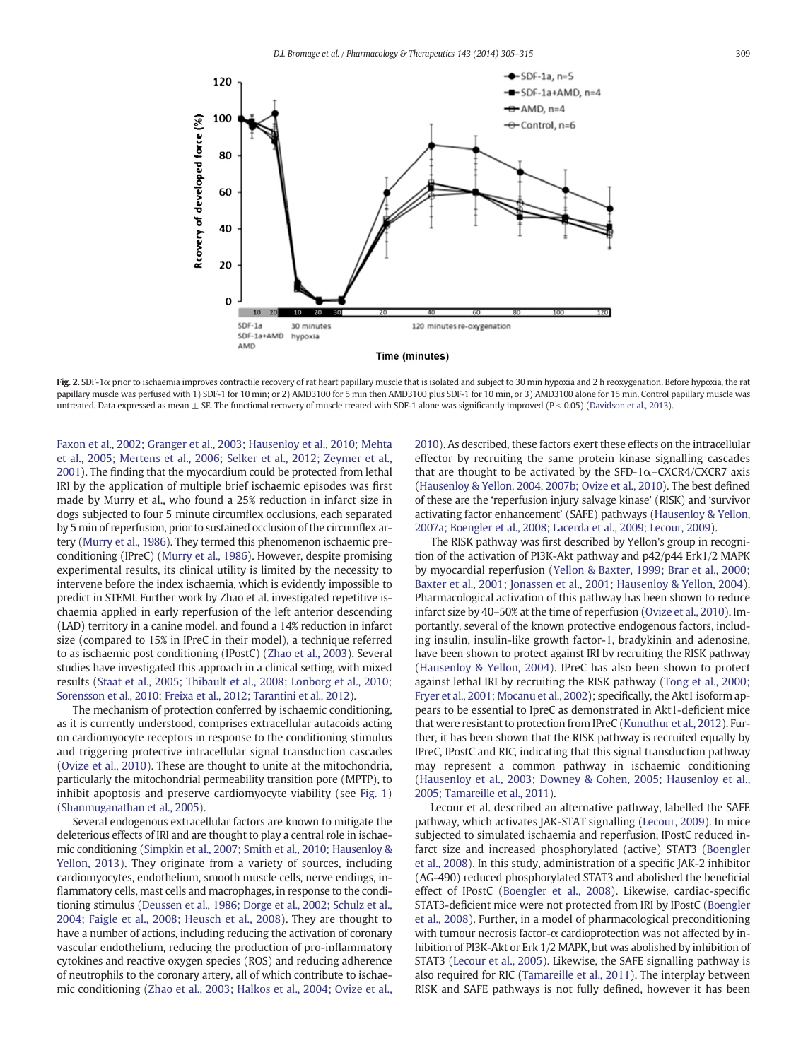<span id="page-4-0"></span>

Fig. 2. SDF-1 $\alpha$  prior to ischaemia improves contractile recovery of rat heart papillary muscle that is isolated and subject to 30 min hypoxia and 2 h reoxygenation. Before hypoxia, the rat papillary muscle was perfused with 1) SDF-1 for 10 min; or 2) AMD3100 for 5 min then AMD3100 plus SDF-1 for 10 min, or 3) AMD3100 alone for 15 min. Control papillary muscle was untreated. Data expressed as mean  $\pm$  SE. The functional recovery of muscle treated with SDF-1 alone was significantly improved (P < 0.05) [\(Davidson et al., 2013](#page-8-0)).

[Faxon et al., 2002; Granger et al., 2003; Hausenloy et al., 2010; Mehta](#page-7-0) [et al., 2005; Mertens et al., 2006; Selker et al., 2012; Zeymer et al.,](#page-7-0) [2001](#page-7-0)). The finding that the myocardium could be protected from lethal IRI by the application of multiple brief ischaemic episodes was first made by Murry et al., who found a 25% reduction in infarct size in dogs subjected to four 5 minute circumflex occlusions, each separated by 5 min of reperfusion, prior to sustained occlusion of the circumflex artery [\(Murry et al., 1986](#page-9-0)). They termed this phenomenon ischaemic preconditioning (IPreC) [\(Murry et al., 1986](#page-9-0)). However, despite promising experimental results, its clinical utility is limited by the necessity to intervene before the index ischaemia, which is evidently impossible to predict in STEMI. Further work by Zhao et al. investigated repetitive ischaemia applied in early reperfusion of the left anterior descending (LAD) territory in a canine model, and found a 14% reduction in infarct size (compared to 15% in IPreC in their model), a technique referred to as ischaemic post conditioning (IPostC) [\(Zhao et al., 2003\)](#page-10-0). Several studies have investigated this approach in a clinical setting, with mixed results [\(Staat et al., 2005; Thibault et al., 2008; Lonborg et al., 2010;](#page-10-0) [Sorensson et al., 2010; Freixa et al., 2012; Tarantini et al., 2012\)](#page-10-0).

The mechanism of protection conferred by ischaemic conditioning, as it is currently understood, comprises extracellular autacoids acting on cardiomyocyte receptors in response to the conditioning stimulus and triggering protective intracellular signal transduction cascades [\(Ovize et al., 2010\)](#page-9-0). These are thought to unite at the mitochondria, particularly the mitochondrial permeability transition pore (MPTP), to inhibit apoptosis and preserve cardiomyocyte viability (see [Fig. 1](#page-2-0)) [\(Shanmuganathan et al., 2005\)](#page-10-0).

Several endogenous extracellular factors are known to mitigate the deleterious effects of IRI and are thought to play a central role in ischaemic conditioning [\(Simpkin et al., 2007; Smith et al., 2010; Hausenloy &](#page-10-0) [Yellon, 2013\)](#page-10-0). They originate from a variety of sources, including cardiomyocytes, endothelium, smooth muscle cells, nerve endings, inflammatory cells, mast cells and macrophages, in response to the conditioning stimulus [\(Deussen et al., 1986; Dorge et al., 2002; Schulz et al.,](#page-8-0) [2004; Faigle et al., 2008; Heusch et al., 2008](#page-8-0)). They are thought to have a number of actions, including reducing the activation of coronary vascular endothelium, reducing the production of pro-inflammatory cytokines and reactive oxygen species (ROS) and reducing adherence of neutrophils to the coronary artery, all of which contribute to ischaemic conditioning [\(Zhao et al., 2003; Halkos et al., 2004; Ovize et al.,](#page-10-0) [2010](#page-10-0)). As described, these factors exert these effects on the intracellular effector by recruiting the same protein kinase signalling cascades that are thought to be activated by the SFD-1 $\alpha$ -CXCR4/CXCR7 axis [\(Hausenloy & Yellon, 2004, 2007b; Ovize et al., 2010\)](#page-8-0). The best defined of these are the 'reperfusion injury salvage kinase' (RISK) and 'survivor activating factor enhancement' (SAFE) pathways ([Hausenloy & Yellon,](#page-8-0) [2007a; Boengler et al., 2008; Lacerda et al., 2009; Lecour, 2009\)](#page-8-0).

The RISK pathway was first described by Yellon's group in recognition of the activation of PI3K-Akt pathway and p42/p44 Erk1/2 MAPK by myocardial reperfusion [\(Yellon & Baxter, 1999; Brar et al., 2000;](#page-10-0) [Baxter et al., 2001; Jonassen et al., 2001; Hausenloy & Yellon, 2004](#page-10-0)). Pharmacological activation of this pathway has been shown to reduce infarct size by 40–50% at the time of reperfusion [\(Ovize et al., 2010](#page-9-0)). Importantly, several of the known protective endogenous factors, including insulin, insulin-like growth factor-1, bradykinin and adenosine, have been shown to protect against IRI by recruiting the RISK pathway [\(Hausenloy & Yellon, 2004](#page-8-0)). IPreC has also been shown to protect against lethal IRI by recruiting the RISK pathway [\(Tong et al., 2000;](#page-10-0) [Fryer et al., 2001; Mocanu et al., 2002\)](#page-10-0); specifically, the Akt1 isoform appears to be essential to IpreC as demonstrated in Akt1-deficient mice that were resistant to protection from IPreC ([Kunuthur et al., 2012](#page-9-0)). Further, it has been shown that the RISK pathway is recruited equally by IPreC, IPostC and RIC, indicating that this signal transduction pathway may represent a common pathway in ischaemic conditioning [\(Hausenloy et al., 2003; Downey & Cohen, 2005; Hausenloy et al.,](#page-8-0) [2005; Tamareille et al., 2011](#page-8-0)).

Lecour et al. described an alternative pathway, labelled the SAFE pathway, which activates JAK-STAT signalling [\(Lecour, 2009](#page-9-0)). In mice subjected to simulated ischaemia and reperfusion, IPostC reduced infarct size and increased phosphorylated (active) STAT3 ([Boengler](#page-7-0) [et al., 2008](#page-7-0)). In this study, administration of a specific JAK-2 inhibitor (AG-490) reduced phosphorylated STAT3 and abolished the beneficial effect of IPostC ([Boengler et al., 2008](#page-7-0)). Likewise, cardiac-specific STAT3-deficient mice were not protected from IRI by IPostC ([Boengler](#page-7-0) [et al., 2008\)](#page-7-0). Further, in a model of pharmacological preconditioning with tumour necrosis factor-α cardioprotection was not affected by inhibition of PI3K-Akt or Erk 1/2 MAPK, but was abolished by inhibition of STAT3 [\(Lecour et al., 2005](#page-9-0)). Likewise, the SAFE signalling pathway is also required for RIC [\(Tamareille et al., 2011\)](#page-10-0). The interplay between RISK and SAFE pathways is not fully defined, however it has been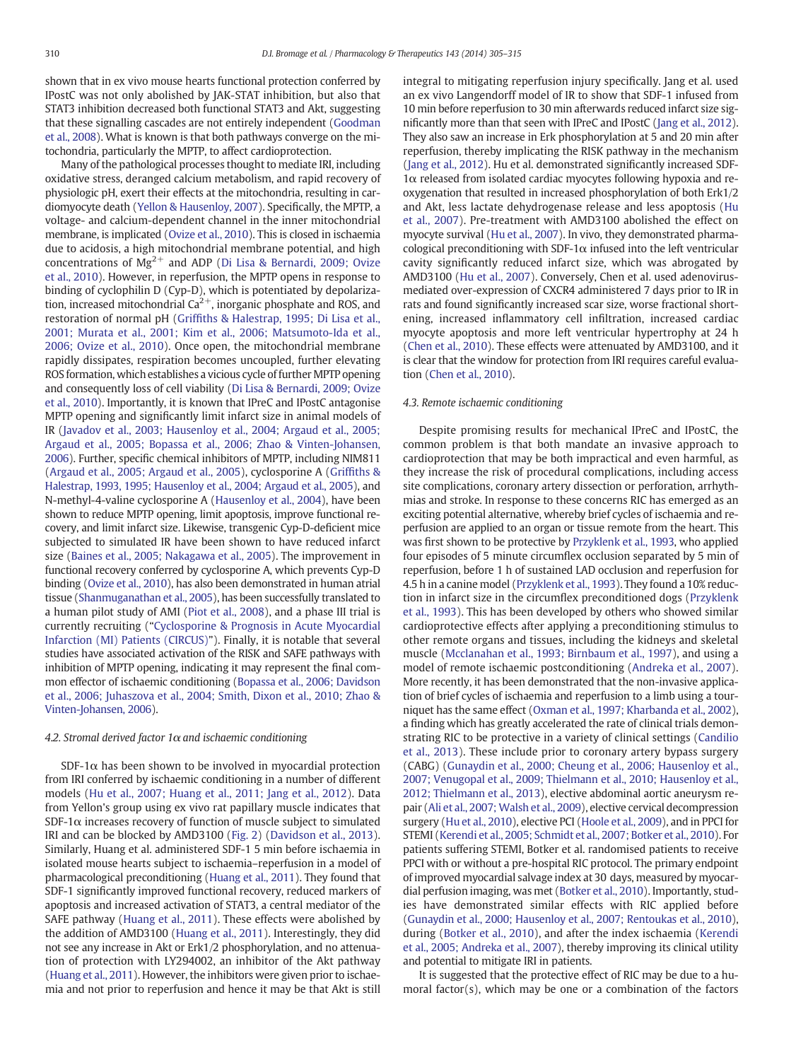shown that in ex vivo mouse hearts functional protection conferred by IPostC was not only abolished by JAK-STAT inhibition, but also that STAT3 inhibition decreased both functional STAT3 and Akt, suggesting that these signalling cascades are not entirely independent ([Goodman](#page-8-0) [et al., 2008\)](#page-8-0). What is known is that both pathways converge on the mitochondria, particularly the MPTP, to affect cardioprotection.

Many of the pathological processes thought to mediate IRI, including oxidative stress, deranged calcium metabolism, and rapid recovery of physiologic pH, exert their effects at the mitochondria, resulting in cardiomyocyte death ([Yellon & Hausenloy, 2007](#page-10-0)). Specifically, the MPTP, a voltage- and calcium-dependent channel in the inner mitochondrial membrane, is implicated [\(Ovize et al., 2010\)](#page-9-0). This is closed in ischaemia due to acidosis, a high mitochondrial membrane potential, and high concentrations of  $Mg^{2+}$  and ADP ([Di Lisa & Bernardi, 2009; Ovize](#page-8-0) [et al., 2010](#page-8-0)). However, in reperfusion, the MPTP opens in response to binding of cyclophilin D (Cyp-D), which is potentiated by depolarization, increased mitochondrial  $Ca^{2+}$ , inorganic phosphate and ROS, and restoration of normal pH (Griffi[ths & Halestrap, 1995; Di Lisa et al.,](#page-8-0) [2001; Murata et al., 2001; Kim et al., 2006; Matsumoto-Ida et al.,](#page-8-0) [2006; Ovize et al., 2010\)](#page-8-0). Once open, the mitochondrial membrane rapidly dissipates, respiration becomes uncoupled, further elevating ROS formation, which establishes a vicious cycle of further MPTP opening and consequently loss of cell viability [\(Di Lisa & Bernardi, 2009; Ovize](#page-8-0) [et al., 2010\)](#page-8-0). Importantly, it is known that IPreC and IPostC antagonise MPTP opening and significantly limit infarct size in animal models of IR [\(Javadov et al., 2003; Hausenloy et al., 2004; Argaud et al., 2005;](#page-8-0) [Argaud et al., 2005; Bopassa et al., 2006; Zhao & Vinten-Johansen,](#page-8-0) [2006\)](#page-8-0). Further, specific chemical inhibitors of MPTP, including NIM811 [\(Argaud et al., 2005; Argaud et al., 2005](#page-7-0)), cyclosporine A (Griffi[ths &](#page-8-0) [Halestrap, 1993, 1995; Hausenloy et al., 2004; Argaud et al., 2005](#page-8-0)), and N-methyl-4-valine cyclosporine A [\(Hausenloy et al., 2004](#page-8-0)), have been shown to reduce MPTP opening, limit apoptosis, improve functional recovery, and limit infarct size. Likewise, transgenic Cyp-D-deficient mice subjected to simulated IR have been shown to have reduced infarct size [\(Baines et al., 2005; Nakagawa et al., 2005\)](#page-7-0). The improvement in functional recovery conferred by cyclosporine A, which prevents Cyp-D binding ([Ovize et al., 2010\)](#page-9-0), has also been demonstrated in human atrial tissue [\(Shanmuganathan et al., 2005](#page-10-0)), has been successfully translated to a human pilot study of AMI ([Piot et al., 2008\)](#page-9-0), and a phase III trial is currently recruiting ("[Cyclosporine & Prognosis in Acute Myocardial](#page-8-0) [Infarction \(MI\) Patients \(CIRCUS\)](#page-8-0)"). Finally, it is notable that several studies have associated activation of the RISK and SAFE pathways with inhibition of MPTP opening, indicating it may represent the final common effector of ischaemic conditioning ([Bopassa et al., 2006; Davidson](#page-7-0) [et al., 2006; Juhaszova et al., 2004; Smith, Dixon et al., 2010; Zhao &](#page-7-0) [Vinten-Johansen, 2006](#page-7-0)).

#### 4.2. Stromal derived factor  $1\alpha$  and ischaemic conditioning

SDF-1 $\alpha$  has been shown to be involved in myocardial protection from IRI conferred by ischaemic conditioning in a number of different models ([Hu et al., 2007; Huang et al., 2011; Jang et al., 2012\)](#page-8-0). Data from Yellon's group using ex vivo rat papillary muscle indicates that SDF-1 $\alpha$  increases recovery of function of muscle subject to simulated IRI and can be blocked by AMD3100 [\(Fig. 2\)](#page-4-0) [\(Davidson et al., 2013](#page-8-0)). Similarly, Huang et al. administered SDF-1 5 min before ischaemia in isolated mouse hearts subject to ischaemia–reperfusion in a model of pharmacological preconditioning ([Huang et al., 2011\)](#page-8-0). They found that SDF-1 significantly improved functional recovery, reduced markers of apoptosis and increased activation of STAT3, a central mediator of the SAFE pathway [\(Huang et al., 2011](#page-8-0)). These effects were abolished by the addition of AMD3100 ([Huang et al., 2011](#page-8-0)). Interestingly, they did not see any increase in Akt or Erk1/2 phosphorylation, and no attenuation of protection with LY294002, an inhibitor of the Akt pathway [\(Huang et al., 2011\)](#page-8-0). However, the inhibitors were given prior to ischaemia and not prior to reperfusion and hence it may be that Akt is still integral to mitigating reperfusion injury specifically. Jang et al. used an ex vivo Langendorff model of IR to show that SDF-1 infused from 10 min before reperfusion to 30 min afterwards reduced infarct size significantly more than that seen with IPreC and IPostC [\(Jang et al., 2012\)](#page-8-0). They also saw an increase in Erk phosphorylation at 5 and 20 min after reperfusion, thereby implicating the RISK pathway in the mechanism [\(Jang et al., 2012\)](#page-8-0). Hu et al. demonstrated significantly increased SDF-1α released from isolated cardiac myocytes following hypoxia and reoxygenation that resulted in increased phosphorylation of both Erk1/2 and Akt, less lactate dehydrogenase release and less apoptosis [\(Hu](#page-8-0) [et al., 2007\)](#page-8-0). Pre-treatment with AMD3100 abolished the effect on myocyte survival [\(Hu et al., 2007\)](#page-8-0). In vivo, they demonstrated pharmacological preconditioning with SDF-1 $\alpha$  infused into the left ventricular cavity significantly reduced infarct size, which was abrogated by AMD3100 [\(Hu et al., 2007](#page-8-0)). Conversely, Chen et al. used adenovirusmediated over-expression of CXCR4 administered 7 days prior to IR in rats and found significantly increased scar size, worse fractional shortening, increased inflammatory cell infiltration, increased cardiac myocyte apoptosis and more left ventricular hypertrophy at 24 h [\(Chen et al., 2010\)](#page-7-0). These effects were attenuated by AMD3100, and it is clear that the window for protection from IRI requires careful evaluation [\(Chen et al., 2010](#page-7-0)).

#### 4.3. Remote ischaemic conditioning

Despite promising results for mechanical IPreC and IPostC, the common problem is that both mandate an invasive approach to cardioprotection that may be both impractical and even harmful, as they increase the risk of procedural complications, including access site complications, coronary artery dissection or perforation, arrhythmias and stroke. In response to these concerns RIC has emerged as an exciting potential alternative, whereby brief cycles of ischaemia and reperfusion are applied to an organ or tissue remote from the heart. This was first shown to be protective by [Przyklenk et al., 1993,](#page-9-0) who applied four episodes of 5 minute circumflex occlusion separated by 5 min of reperfusion, before 1 h of sustained LAD occlusion and reperfusion for 4.5 h in a canine model ([Przyklenk et al., 1993\)](#page-9-0). They found a 10% reduction in infarct size in the circumflex preconditioned dogs ([Przyklenk](#page-9-0) [et al., 1993\)](#page-9-0). This has been developed by others who showed similar cardioprotective effects after applying a preconditioning stimulus to other remote organs and tissues, including the kidneys and skeletal muscle [\(Mcclanahan et al., 1993; Birnbaum et al., 1997](#page-9-0)), and using a model of remote ischaemic postconditioning [\(Andreka et al., 2007](#page-7-0)). More recently, it has been demonstrated that the non-invasive application of brief cycles of ischaemia and reperfusion to a limb using a tourniquet has the same effect [\(Oxman et al., 1997; Kharbanda et al., 2002\)](#page-9-0), a finding which has greatly accelerated the rate of clinical trials demonstrating RIC to be protective in a variety of clinical settings ([Candilio](#page-7-0) [et al., 2013](#page-7-0)). These include prior to coronary artery bypass surgery (CABG) ([Gunaydin et al., 2000; Cheung et al., 2006; Hausenloy et al.,](#page-8-0) [2007; Venugopal et al., 2009; Thielmann et al., 2010; Hausenloy et al.,](#page-8-0) [2012; Thielmann et al., 2013](#page-8-0)), elective abdominal aortic aneurysm repair ([Ali et al., 2007; Walsh et al., 2009\)](#page-7-0), elective cervical decompression surgery ([Hu et al., 2010](#page-8-0)), elective PCI [\(Hoole et al., 2009](#page-8-0)), and in PPCI for STEMI [\(Kerendi et al., 2005; Schmidt et al., 2007; Botker et al., 2010\)](#page-9-0). For patients suffering STEMI, Botker et al. randomised patients to receive PPCI with or without a pre-hospital RIC protocol. The primary endpoint of improved myocardial salvage index at 30 days, measured by myocardial perfusion imaging, was met ([Botker et al., 2010](#page-7-0)). Importantly, studies have demonstrated similar effects with RIC applied before [\(Gunaydin et al., 2000; Hausenloy et al., 2007; Rentoukas et al., 2010\)](#page-8-0), during [\(Botker et al., 2010\)](#page-7-0), and after the index ischaemia ([Kerendi](#page-9-0) [et al., 2005; Andreka et al., 2007\)](#page-9-0), thereby improving its clinical utility and potential to mitigate IRI in patients.

It is suggested that the protective effect of RIC may be due to a humoral factor(s), which may be one or a combination of the factors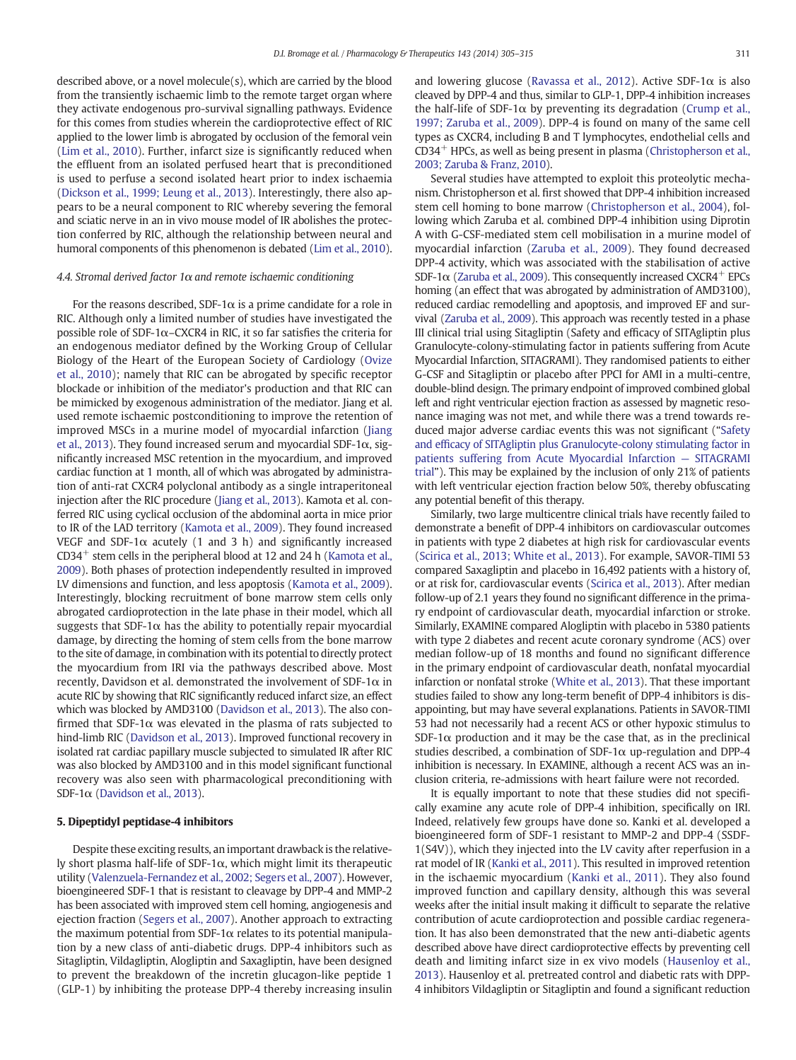described above, or a novel molecule(s), which are carried by the blood from the transiently ischaemic limb to the remote target organ where they activate endogenous pro-survival signalling pathways. Evidence for this comes from studies wherein the cardioprotective effect of RIC applied to the lower limb is abrogated by occlusion of the femoral vein [\(Lim et al., 2010\)](#page-9-0). Further, infarct size is significantly reduced when the effluent from an isolated perfused heart that is preconditioned is used to perfuse a second isolated heart prior to index ischaemia [\(Dickson et al., 1999; Leung et al., 2013\)](#page-8-0). Interestingly, there also appears to be a neural component to RIC whereby severing the femoral and sciatic nerve in an in vivo mouse model of IR abolishes the protection conferred by RIC, although the relationship between neural and humoral components of this phenomenon is debated [\(Lim et al., 2010](#page-9-0)).

#### 4.4. Stromal derived factor  $1\alpha$  and remote ischaemic conditioning

For the reasons described, SDF-1 $\alpha$  is a prime candidate for a role in RIC. Although only a limited number of studies have investigated the possible role of SDF-1α–CXCR4 in RIC, it so far satisfies the criteria for an endogenous mediator defined by the Working Group of Cellular Biology of the Heart of the European Society of Cardiology ([Ovize](#page-9-0) [et al., 2010\)](#page-9-0); namely that RIC can be abrogated by specific receptor blockade or inhibition of the mediator's production and that RIC can be mimicked by exogenous administration of the mediator. Jiang et al. used remote ischaemic postconditioning to improve the retention of improved MSCs in a murine model of myocardial infarction [\(Jiang](#page-8-0) [et al., 2013](#page-8-0)). They found increased serum and myocardial SDF-1 $\alpha$ , significantly increased MSC retention in the myocardium, and improved cardiac function at 1 month, all of which was abrogated by administration of anti-rat CXCR4 polyclonal antibody as a single intraperitoneal injection after the RIC procedure ([Jiang et al., 2013\)](#page-8-0). Kamota et al. conferred RIC using cyclical occlusion of the abdominal aorta in mice prior to IR of the LAD territory [\(Kamota et al., 2009](#page-8-0)). They found increased VEGF and SDF-1 $\alpha$  acutely (1 and 3 h) and significantly increased  $CD34<sup>+</sup>$  stem cells in the peripheral blood at 12 and 24 h ([Kamota et al.,](#page-8-0) [2009\)](#page-8-0). Both phases of protection independently resulted in improved LV dimensions and function, and less apoptosis ([Kamota et al., 2009](#page-8-0)). Interestingly, blocking recruitment of bone marrow stem cells only abrogated cardioprotection in the late phase in their model, which all suggests that SDF-1 $\alpha$  has the ability to potentially repair myocardial damage, by directing the homing of stem cells from the bone marrow to the site of damage, in combination with its potential to directly protect the myocardium from IRI via the pathways described above. Most recently, Davidson et al. demonstrated the involvement of SDF-1 $\alpha$  in acute RIC by showing that RIC significantly reduced infarct size, an effect which was blocked by AMD3100 [\(Davidson et al., 2013\)](#page-8-0). The also confirmed that SDF-1 $\alpha$  was elevated in the plasma of rats subjected to hind-limb RIC ([Davidson et al., 2013\)](#page-8-0). Improved functional recovery in isolated rat cardiac papillary muscle subjected to simulated IR after RIC was also blocked by AMD3100 and in this model significant functional recovery was also seen with pharmacological preconditioning with SDF-1 $\alpha$  ([Davidson et al., 2013\)](#page-8-0).

#### 5. Dipeptidyl peptidase-4 inhibitors

Despite these exciting results, an important drawback is the relatively short plasma half-life of SDF-1 $\alpha$ , which might limit its therapeutic utility ([Valenzuela-Fernandez et al., 2002; Segers et al., 2007\)](#page-10-0). However, bioengineered SDF-1 that is resistant to cleavage by DPP-4 and MMP-2 has been associated with improved stem cell homing, angiogenesis and ejection fraction [\(Segers et al., 2007](#page-10-0)). Another approach to extracting the maximum potential from SDF-1 $\alpha$  relates to its potential manipulation by a new class of anti-diabetic drugs. DPP-4 inhibitors such as Sitagliptin, Vildagliptin, Alogliptin and Saxagliptin, have been designed to prevent the breakdown of the incretin glucagon-like peptide 1 (GLP-1) by inhibiting the protease DPP-4 thereby increasing insulin and lowering glucose ([Ravassa et al., 2012](#page-9-0)). Active SDF-1 $\alpha$  is also cleaved by DPP-4 and thus, similar to GLP-1, DPP-4 inhibition increases the half-life of SDF-1 $\alpha$  by preventing its degradation ([Crump et al.,](#page-8-0) [1997; Zaruba et al., 2009\)](#page-8-0). DPP-4 is found on many of the same cell types as CXCR4, including B and T lymphocytes, endothelial cells and CD34+ HPCs, as well as being present in plasma [\(Christopherson et al.,](#page-7-0) [2003; Zaruba & Franz, 2010](#page-7-0)).

Several studies have attempted to exploit this proteolytic mechanism. Christopherson et al. first showed that DPP-4 inhibition increased stem cell homing to bone marrow [\(Christopherson et al., 2004](#page-7-0)), following which Zaruba et al. combined DPP-4 inhibition using Diprotin A with G-CSF-mediated stem cell mobilisation in a murine model of myocardial infarction ([Zaruba et al., 2009\)](#page-10-0). They found decreased DPP-4 activity, which was associated with the stabilisation of active SDF-1 $\alpha$  [\(Zaruba et al., 2009\)](#page-10-0). This consequently increased CXCR4<sup>+</sup> EPCs homing (an effect that was abrogated by administration of AMD3100), reduced cardiac remodelling and apoptosis, and improved EF and survival [\(Zaruba et al., 2009](#page-10-0)). This approach was recently tested in a phase III clinical trial using Sitagliptin (Safety and efficacy of SITAgliptin plus Granulocyte-colony-stimulating factor in patients suffering from Acute Myocardial Infarction, SITAGRAMI). They randomised patients to either G-CSF and Sitagliptin or placebo after PPCI for AMI in a multi-centre, double-blind design. The primary endpoint of improved combined global left and right ventricular ejection fraction as assessed by magnetic resonance imaging was not met, and while there was a trend towards reduced major adverse cardiac events this was not significant ("[Safety](#page-9-0) and effi[cacy of SITAgliptin plus Granulocyte-colony stimulating factor in](#page-9-0) [patients suffering from Acute Myocardial Infarction](#page-9-0) — SITAGRAMI [trial](#page-9-0)"). This may be explained by the inclusion of only 21% of patients with left ventricular ejection fraction below 50%, thereby obfuscating any potential benefit of this therapy.

Similarly, two large multicentre clinical trials have recently failed to demonstrate a benefit of DPP-4 inhibitors on cardiovascular outcomes in patients with type 2 diabetes at high risk for cardiovascular events [\(Scirica et al., 2013; White et al., 2013\)](#page-10-0). For example, SAVOR-TIMI 53 compared Saxagliptin and placebo in 16,492 patients with a history of, or at risk for, cardiovascular events [\(Scirica et al., 2013\)](#page-10-0). After median follow-up of 2.1 years they found no significant difference in the primary endpoint of cardiovascular death, myocardial infarction or stroke. Similarly, EXAMINE compared Alogliptin with placebo in 5380 patients with type 2 diabetes and recent acute coronary syndrome (ACS) over median follow-up of 18 months and found no significant difference in the primary endpoint of cardiovascular death, nonfatal myocardial infarction or nonfatal stroke [\(White et al., 2013\)](#page-10-0). That these important studies failed to show any long-term benefit of DPP-4 inhibitors is disappointing, but may have several explanations. Patients in SAVOR-TIMI 53 had not necessarily had a recent ACS or other hypoxic stimulus to SDF-1 $\alpha$  production and it may be the case that, as in the preclinical studies described, a combination of SDF-1 $\alpha$  up-regulation and DPP-4 inhibition is necessary. In EXAMINE, although a recent ACS was an inclusion criteria, re-admissions with heart failure were not recorded.

It is equally important to note that these studies did not specifically examine any acute role of DPP-4 inhibition, specifically on IRI. Indeed, relatively few groups have done so. Kanki et al. developed a bioengineered form of SDF-1 resistant to MMP-2 and DPP-4 (SSDF-1(S4V)), which they injected into the LV cavity after reperfusion in a rat model of IR [\(Kanki et al., 2011\)](#page-9-0). This resulted in improved retention in the ischaemic myocardium ([Kanki et al., 2011\)](#page-9-0). They also found improved function and capillary density, although this was several weeks after the initial insult making it difficult to separate the relative contribution of acute cardioprotection and possible cardiac regeneration. It has also been demonstrated that the new anti-diabetic agents described above have direct cardioprotective effects by preventing cell death and limiting infarct size in ex vivo models ([Hausenloy et al.,](#page-8-0) [2013\)](#page-8-0). Hausenloy et al. pretreated control and diabetic rats with DPP-4 inhibitors Vildagliptin or Sitagliptin and found a significant reduction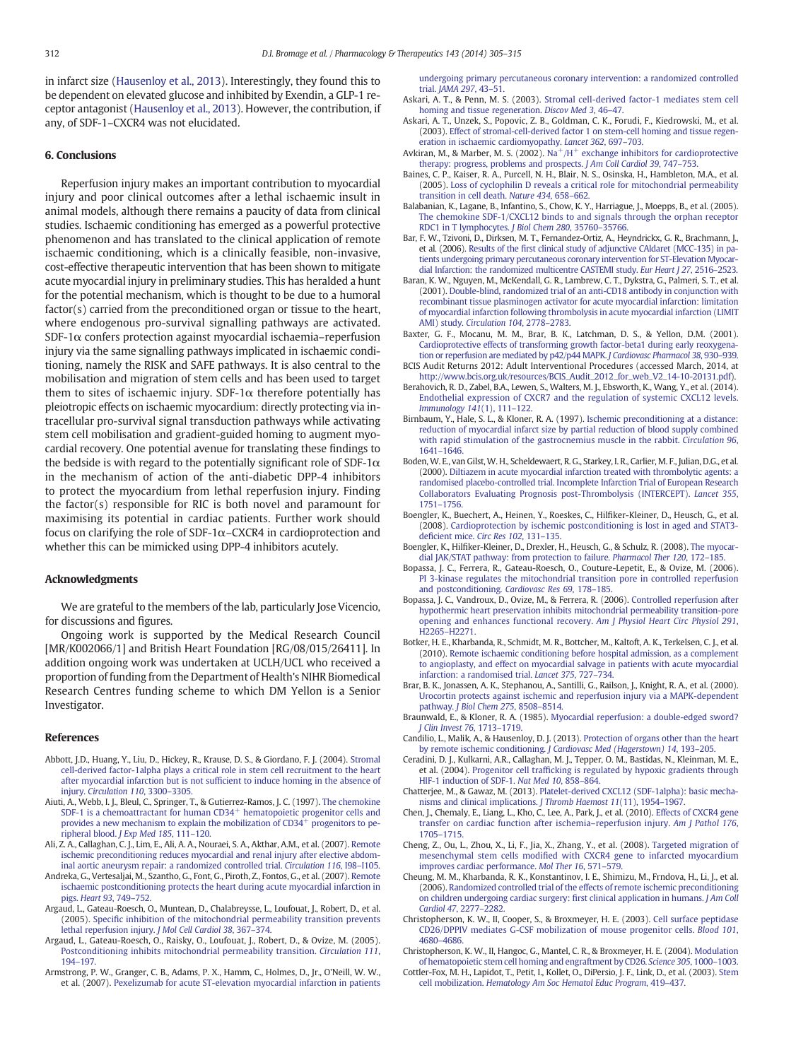<span id="page-7-0"></span>in infarct size [\(Hausenloy et al., 2013](#page-8-0)). Interestingly, they found this to be dependent on elevated glucose and inhibited by Exendin, a GLP-1 receptor antagonist [\(Hausenloy et al., 2013\)](#page-8-0). However, the contribution, if any, of SDF-1–CXCR4 was not elucidated.

#### 6. Conclusions

Reperfusion injury makes an important contribution to myocardial injury and poor clinical outcomes after a lethal ischaemic insult in animal models, although there remains a paucity of data from clinical studies. Ischaemic conditioning has emerged as a powerful protective phenomenon and has translated to the clinical application of remote ischaemic conditioning, which is a clinically feasible, non-invasive, cost-effective therapeutic intervention that has been shown to mitigate acute myocardial injury in preliminary studies. This has heralded a hunt for the potential mechanism, which is thought to be due to a humoral factor(s) carried from the preconditioned organ or tissue to the heart, where endogenous pro-survival signalling pathways are activated.  $SDF-1\alpha$  confers protection against myocardial ischaemia–reperfusion injury via the same signalling pathways implicated in ischaemic conditioning, namely the RISK and SAFE pathways. It is also central to the mobilisation and migration of stem cells and has been used to target them to sites of ischaemic injury. SDF-1 $\alpha$  therefore potentially has pleiotropic effects on ischaemic myocardium: directly protecting via intracellular pro-survival signal transduction pathways while activating stem cell mobilisation and gradient-guided homing to augment myocardial recovery. One potential avenue for translating these findings to the bedside is with regard to the potentially significant role of SDF-1 $\alpha$ in the mechanism of action of the anti-diabetic DPP-4 inhibitors to protect the myocardium from lethal reperfusion injury. Finding the factor(s) responsible for RIC is both novel and paramount for maximising its potential in cardiac patients. Further work should focus on clarifying the role of SDF-1 $\alpha$ –CXCR4 in cardioprotection and whether this can be mimicked using DPP-4 inhibitors acutely.

#### Acknowledgments

We are grateful to the members of the lab, particularly Jose Vicencio, for discussions and figures.

Ongoing work is supported by the Medical Research Council [MR/K002066/1] and British Heart Foundation [RG/08/015/26411]. In addition ongoing work was undertaken at UCLH/UCL who received a proportion of funding from the Department of Health's NIHR Biomedical Research Centres funding scheme to which DM Yellon is a Senior Investigator.

#### **References**

- Abbott, J.D., Huang, Y., Liu, D., Hickey, R., Krause, D. S., & Giordano, F. J. (2004). [Stromal](http://refhub.elsevier.com/S0163-7258(14)00070-9/rf0005) [cell-derived factor-1alpha plays a critical role in stem cell recruitment to the heart](http://refhub.elsevier.com/S0163-7258(14)00070-9/rf0005) after myocardial infarction but is not suffi[cient to induce homing in the absence of](http://refhub.elsevier.com/S0163-7258(14)00070-9/rf0005) injury. [Circulation 110](http://refhub.elsevier.com/S0163-7258(14)00070-9/rf0005), 3300–3305.
- Aiuti, A., Webb, I. J., Bleul, C., Springer, T., & Gutierrez-Ramos, J. C. (1997). [The chemokine](http://refhub.elsevier.com/S0163-7258(14)00070-9/rf0010) [SDF-1](http://refhub.elsevier.com/S0163-7258(14)00070-9/rf0010) [is](http://refhub.elsevier.com/S0163-7258(14)00070-9/rf0010) [a](http://refhub.elsevier.com/S0163-7258(14)00070-9/rf0010) [chemoattractant](http://refhub.elsevier.com/S0163-7258(14)00070-9/rf0010) [for](http://refhub.elsevier.com/S0163-7258(14)00070-9/rf0010) [human](http://refhub.elsevier.com/S0163-7258(14)00070-9/rf0010) [CD34](http://refhub.elsevier.com/S0163-7258(14)00070-9/rf0010)<sup>+</sup> [hematopoietic progenitor cells and](http://refhub.elsevier.com/S0163-7258(14)00070-9/rf0010) [provides](http://refhub.elsevier.com/S0163-7258(14)00070-9/rf0010) [a](http://refhub.elsevier.com/S0163-7258(14)00070-9/rf0010) [new](http://refhub.elsevier.com/S0163-7258(14)00070-9/rf0010) [mechanism](http://refhub.elsevier.com/S0163-7258(14)00070-9/rf0010) [to](http://refhub.elsevier.com/S0163-7258(14)00070-9/rf0010) [explain](http://refhub.elsevier.com/S0163-7258(14)00070-9/rf0010) [the](http://refhub.elsevier.com/S0163-7258(14)00070-9/rf0010) [mobilization](http://refhub.elsevier.com/S0163-7258(14)00070-9/rf0010) [of](http://refhub.elsevier.com/S0163-7258(14)00070-9/rf0010)  $CD34<sup>+</sup>$  [progenitors to pe](http://refhub.elsevier.com/S0163-7258(14)00070-9/rf0010)[ripheral blood.](http://refhub.elsevier.com/S0163-7258(14)00070-9/rf0010) J Exp Med 185, 111–120.
- Ali, Z. A., Callaghan, C. J., Lim, E., Ali, A. A., Nouraei, S. A., Akthar, A.M., et al. (2007). [Remote](http://refhub.elsevier.com/S0163-7258(14)00070-9/rf0015) [ischemic preconditioning reduces myocardial and renal injury after elective abdom](http://refhub.elsevier.com/S0163-7258(14)00070-9/rf0015)[inal aortic aneurysm repair: a randomized controlled trial.](http://refhub.elsevier.com/S0163-7258(14)00070-9/rf0015) Circulation 116, I98–I105.
- Andreka, G., Vertesaljai, M., Szantho, G., Font, G., Piroth, Z., Fontos, G., et al. (2007). [Remote](http://refhub.elsevier.com/S0163-7258(14)00070-9/rf0020) [ischaemic postconditioning protects the heart during acute myocardial infarction in](http://refhub.elsevier.com/S0163-7258(14)00070-9/rf0020) pigs. [Heart 93](http://refhub.elsevier.com/S0163-7258(14)00070-9/rf0020), 749–752.
- Argaud, L., Gateau-Roesch, O., Muntean, D., Chalabreysse, L., Loufouat, J., Robert, D., et al. (2005). Specifi[c inhibition of the mitochondrial permeability transition prevents](http://refhub.elsevier.com/S0163-7258(14)00070-9/rf0025) [lethal reperfusion injury.](http://refhub.elsevier.com/S0163-7258(14)00070-9/rf0025) J Mol Cell Cardiol 38, 367–374.
- Argaud, L., Gateau-Roesch, O., Raisky, O., Loufouat, J., Robert, D., & Ovize, M. (2005). [Postconditioning inhibits mitochondrial permeability transition.](http://refhub.elsevier.com/S0163-7258(14)00070-9/rf0030) Circulation 111, 194–[197.](http://refhub.elsevier.com/S0163-7258(14)00070-9/rf0030)
- Armstrong, P. W., Granger, C. B., Adams, P. X., Hamm, C., Holmes, D., Jr., O'Neill, W. W., et al. (2007). [Pexelizumab for acute ST-elevation myocardial infarction in patients](http://refhub.elsevier.com/S0163-7258(14)00070-9/rf0035)

[undergoing primary percutaneous coronary intervention: a randomized controlled](http://refhub.elsevier.com/S0163-7258(14)00070-9/rf0035) trial. [JAMA 297](http://refhub.elsevier.com/S0163-7258(14)00070-9/rf0035), 43–51.

- Askari, A. T., & Penn, M. S. (2003). [Stromal cell-derived factor-1 mediates stem cell](http://refhub.elsevier.com/S0163-7258(14)00070-9/rf0040) [homing and tissue regeneration.](http://refhub.elsevier.com/S0163-7258(14)00070-9/rf0040) Discov Med 3, 46–47.
- Askari, A. T., Unzek, S., Popovic, Z. B., Goldman, C. K., Forudi, F., Kiedrowski, M., et al. (2003). [Effect of stromal-cell-derived factor 1 on stem-cell homing and tissue regen](http://refhub.elsevier.com/S0163-7258(14)00070-9/rf0045)[eration in ischaemic cardiomyopathy.](http://refhub.elsevier.com/S0163-7258(14)00070-9/rf0045) Lancet 362, 697–703.
- Avkiran, M., & Marber, M. S. (2002). [Na+/H+](http://refhub.elsevier.com/S0163-7258(14)00070-9/rf0050) [exchange inhibitors for cardioprotective](http://refhub.elsevier.com/S0163-7258(14)00070-9/rf0050) [therapy: progress, problems and prospects.](http://refhub.elsevier.com/S0163-7258(14)00070-9/rf0050) J Am Coll Cardiol 39, 747–753.
- Baines, C. P., Kaiser, R. A., Purcell, N. H., Blair, N. S., Osinska, H., Hambleton, M.A., et al. (2005). [Loss of cyclophilin D reveals a critical role for mitochondrial permeability](http://refhub.elsevier.com/S0163-7258(14)00070-9/rf0055) [transition in cell death.](http://refhub.elsevier.com/S0163-7258(14)00070-9/rf0055) Nature 434, 658–662.
- Balabanian, K., Lagane, B., Infantino, S., Chow, K. Y., Harriague, J., Moepps, B., et al. (2005). [The chemokine SDF-1/CXCL12 binds to and signals through the orphan receptor](http://refhub.elsevier.com/S0163-7258(14)00070-9/rf0060) [RDC1 in T lymphocytes.](http://refhub.elsevier.com/S0163-7258(14)00070-9/rf0060) J Biol Chem 280, 35760–35766.
- Bar, F. W., Tzivoni, D., Dirksen, M. T., Fernandez-Ortiz, A., Heyndrickx, G. R., Brachmann, J., et al. (2006). Results of the fi[rst clinical study of adjunctive CAldaret \(MCC-135\) in pa](http://refhub.elsevier.com/S0163-7258(14)00070-9/rf0065)[tients undergoing primary percutaneous coronary intervention for ST-Elevation Myocar](http://refhub.elsevier.com/S0163-7258(14)00070-9/rf0065)[dial Infarction: the randomized multicentre CASTEMI study.](http://refhub.elsevier.com/S0163-7258(14)00070-9/rf0065) Eur Heart J 27, 2516–2523.
- Baran, K. W., Nguyen, M., McKendall, G. R., Lambrew, C. T., Dykstra, G., Palmeri, S. T., et al. (2001). [Double-blind, randomized trial of an anti-CD18 antibody in conjunction with](http://refhub.elsevier.com/S0163-7258(14)00070-9/rf0070) [recombinant tissue plasminogen activator for acute myocardial infarction: limitation](http://refhub.elsevier.com/S0163-7258(14)00070-9/rf0070) [of myocardial infarction following thrombolysis in acute myocardial infarction \(LIMIT](http://refhub.elsevier.com/S0163-7258(14)00070-9/rf0070) AMI) study. [Circulation 104](http://refhub.elsevier.com/S0163-7258(14)00070-9/rf0070), 2778–2783.
- Baxter, G. F., Mocanu, M. M., Brar, B. K., Latchman, D. S., & Yellon, D.M. (2001). [Cardioprotective effects of transforming growth factor-beta1 during early reoxygena](http://refhub.elsevier.com/S0163-7258(14)00070-9/rf0075)[tion or reperfusion are mediated by p42/p44 MAPK.](http://refhub.elsevier.com/S0163-7258(14)00070-9/rf0075) J Cardiovasc Pharmacol 38, 930–939.
- BCIS Audit Returns 2012: Adult Interventional Procedures (accessed March, 2014, at [http://www.bcis.org.uk/resources/BCIS\\_Audit\\_2012\\_for\\_web\\_V2\\_14-10-20131.pdf\)](http://www.bcis.org.uk/resources/BCIS_Audit_2012_for_web_V2_14-10-20131.pdf).
- Berahovich, R. D., Zabel, B.A., Lewen, S., Walters, M. J., Ebsworth, K., Wang, Y., et al. (2014). [Endothelial expression of CXCR7 and the regulation of systemic CXCL12 levels.](http://refhub.elsevier.com/S0163-7258(14)00070-9/rf0985) [Immunology 141](http://refhub.elsevier.com/S0163-7258(14)00070-9/rf0985)(1), 111–122.
- Birnbaum, Y., Hale, S. L., & Kloner, R. A. (1997). [Ischemic preconditioning at a distance:](http://refhub.elsevier.com/S0163-7258(14)00070-9/rf0085) [reduction of myocardial infarct size by partial reduction of blood supply combined](http://refhub.elsevier.com/S0163-7258(14)00070-9/rf0085) [with rapid stimulation of the gastrocnemius muscle in the rabbit.](http://refhub.elsevier.com/S0163-7258(14)00070-9/rf0085) Circulation 96, 1641–[1646.](http://refhub.elsevier.com/S0163-7258(14)00070-9/rf0085)
- Boden, W. E., van Gilst, W. H., Scheldewaert, R. G., Starkey, I. R., Carlier, M. F., Julian, D.G., et al. (2000). [Diltiazem in acute myocardial infarction treated with thrombolytic agents: a](http://refhub.elsevier.com/S0163-7258(14)00070-9/rf0990) [randomised placebo-controlled trial. Incomplete Infarction Trial of European Research](http://refhub.elsevier.com/S0163-7258(14)00070-9/rf0990) [Collaborators Evaluating Prognosis post-Thrombolysis \(INTERCEPT\).](http://refhub.elsevier.com/S0163-7258(14)00070-9/rf0990) Lancet 355, 1751–[1756.](http://refhub.elsevier.com/S0163-7258(14)00070-9/rf0990)
- Boengler, K., Buechert, A., Heinen, Y., Roeskes, C., Hilfiker-Kleiner, D., Heusch, G., et al. (2008). [Cardioprotection by ischemic postconditioning is lost in aged and STAT3](http://refhub.elsevier.com/S0163-7258(14)00070-9/rf0090) deficient mice. [Circ Res 102](http://refhub.elsevier.com/S0163-7258(14)00070-9/rf0090), 131–135.
- Boengler, K., Hilfiker-Kleiner, D., Drexler, H., Heusch, G., & Schulz, R. (2008). [The myocar](http://refhub.elsevier.com/S0163-7258(14)00070-9/rf0095)[dial JAK/STAT pathway: from protection to failure.](http://refhub.elsevier.com/S0163-7258(14)00070-9/rf0095) Pharmacol Ther 120, 172–185.
- Bopassa, J. C., Ferrera, R., Gateau-Roesch, O., Couture-Lepetit, E., & Ovize, M. (2006). [PI 3-kinase regulates the mitochondrial transition pore in controlled reperfusion](http://refhub.elsevier.com/S0163-7258(14)00070-9/rf0100) [and postconditioning.](http://refhub.elsevier.com/S0163-7258(14)00070-9/rf0100) Cardiovasc Res 69, 178–185.
- Bopassa, J. C., Vandroux, D., Ovize, M., & Ferrera, R. (2006). [Controlled reperfusion after](http://refhub.elsevier.com/S0163-7258(14)00070-9/rf0105) [hypothermic heart preservation inhibits mitochondrial permeability transition-pore](http://refhub.elsevier.com/S0163-7258(14)00070-9/rf0105) [opening and enhances functional recovery.](http://refhub.elsevier.com/S0163-7258(14)00070-9/rf0105) Am J Physiol Heart Circ Physiol 291, H2265–[H2271.](http://refhub.elsevier.com/S0163-7258(14)00070-9/rf0105)
- Botker, H. E., Kharbanda, R., Schmidt, M. R., Bottcher, M., Kaltoft, A. K., Terkelsen, C. J., et al. (2010). [Remote ischaemic conditioning before hospital admission, as a complement](http://refhub.elsevier.com/S0163-7258(14)00070-9/rf0110) [to angioplasty, and effect on myocardial salvage in patients with acute myocardial](http://refhub.elsevier.com/S0163-7258(14)00070-9/rf0110) [infarction: a randomised trial.](http://refhub.elsevier.com/S0163-7258(14)00070-9/rf0110) Lancet 375, 727–734.
- Brar, B. K., Jonassen, A. K., Stephanou, A., Santilli, G., Railson, J., Knight, R. A., et al. (2000). [Urocortin protects against ischemic and reperfusion injury via a MAPK-dependent](http://refhub.elsevier.com/S0163-7258(14)00070-9/rf0115) pathway. [J Biol Chem 275](http://refhub.elsevier.com/S0163-7258(14)00070-9/rf0115), 8508–8514.
- Braunwald, E., & Kloner, R. A. (1985). [Myocardial reperfusion: a double-edged sword?](http://refhub.elsevier.com/S0163-7258(14)00070-9/rf0120) [J Clin Invest 76](http://refhub.elsevier.com/S0163-7258(14)00070-9/rf0120), 1713–1719.
- Candilio, L., Malik, A., & Hausenloy, D. J. (2013). [Protection of organs other than the heart](http://refhub.elsevier.com/S0163-7258(14)00070-9/rf0125) by remote ischemic conditioning. [J Cardiovasc Med \(Hagerstown\) 14](http://refhub.elsevier.com/S0163-7258(14)00070-9/rf0125), 193–205.
- Ceradini, D. J., Kulkarni, A.R., Callaghan, M. J., Tepper, O. M., Bastidas, N., Kleinman, M. E., et al. (2004). Progenitor cell traffi[cking is regulated by hypoxic gradients through](http://refhub.elsevier.com/S0163-7258(14)00070-9/rf0130) [HIF-1 induction of SDF-1.](http://refhub.elsevier.com/S0163-7258(14)00070-9/rf0130) Nat Med 10, 858–864.
- Chatterjee, M., & Gawaz, M. (2013). [Platelet-derived CXCL12 \(SDF-1alpha\): basic mecha](http://refhub.elsevier.com/S0163-7258(14)00070-9/rf0995)[nisms and clinical implications.](http://refhub.elsevier.com/S0163-7258(14)00070-9/rf0995) J Thromb Haemost 11(11), 1954–1967.
- Chen, J., Chemaly, E., Liang, L., Kho, C., Lee, A., Park, J., et al. (2010). [Effects of CXCR4 gene](http://refhub.elsevier.com/S0163-7258(14)00070-9/rf0140) [transfer on cardiac function after ischemia](http://refhub.elsevier.com/S0163-7258(14)00070-9/rf0140)–reperfusion injury. Am J Pathol 176, 1705–[1715.](http://refhub.elsevier.com/S0163-7258(14)00070-9/rf0140)
- Cheng, Z., Ou, L., Zhou, X., Li, F., Jia, X., Zhang, Y., et al. (2008). [Targeted migration of](http://refhub.elsevier.com/S0163-7258(14)00070-9/rf0145) mesenchymal stem cells modifi[ed with CXCR4 gene to infarcted myocardium](http://refhub.elsevier.com/S0163-7258(14)00070-9/rf0145) [improves cardiac performance.](http://refhub.elsevier.com/S0163-7258(14)00070-9/rf0145) Mol Ther 16, 571–579.
- Cheung, M. M., Kharbanda, R. K., Konstantinov, I. E., Shimizu, M., Frndova, H., Li, J., et al. (2006). [Randomized controlled trial of the effects of remote ischemic preconditioning](http://refhub.elsevier.com/S0163-7258(14)00070-9/rf0150) [on children undergoing cardiac surgery:](http://refhub.elsevier.com/S0163-7258(14)00070-9/rf0150) first clinical application in humans. J Am Coll [Cardiol 47](http://refhub.elsevier.com/S0163-7258(14)00070-9/rf0150), 2277–2282.
- Christopherson, K. W., II, Cooper, S., & Broxmeyer, H. E. (2003). [Cell surface peptidase](http://refhub.elsevier.com/S0163-7258(14)00070-9/rf0155) [CD26/DPPIV mediates G-CSF mobilization of mouse progenitor cells.](http://refhub.elsevier.com/S0163-7258(14)00070-9/rf0155) Blood 101, 4680–[4686.](http://refhub.elsevier.com/S0163-7258(14)00070-9/rf0155)
- Christopherson, K. W., II, Hangoc, G., Mantel, C. R., & Broxmeyer, H. E. (2004). [Modulation](http://refhub.elsevier.com/S0163-7258(14)00070-9/rf0160) [of hematopoietic stem cell homing and engraftment by CD26.](http://refhub.elsevier.com/S0163-7258(14)00070-9/rf0160) Science 305, 1000–1003.
- Cottler-Fox, M. H., Lapidot, T., Petit, I., Kollet, O., DiPersio, J. F., Link, D., et al. (2003). [Stem](http://refhub.elsevier.com/S0163-7258(14)00070-9/rf1000) cell mobilization. [Hematology Am Soc Hematol Educ Program](http://refhub.elsevier.com/S0163-7258(14)00070-9/rf1000), 419–437.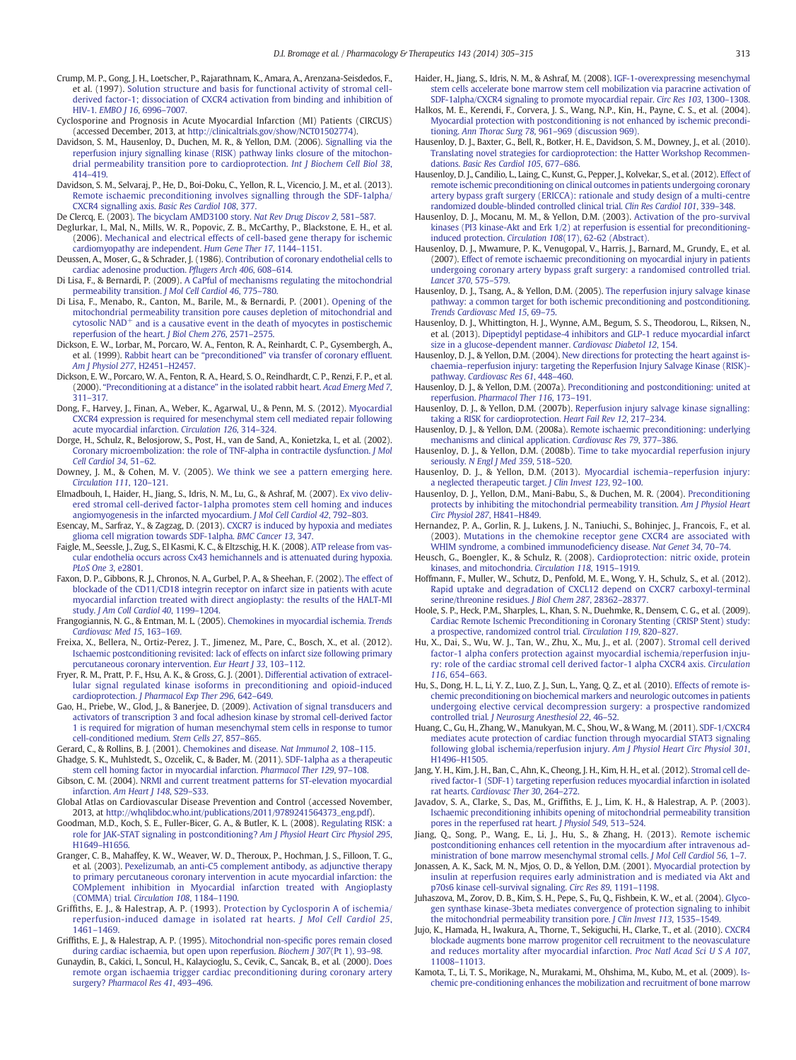- <span id="page-8-0"></span>Crump, M. P., Gong, J. H., Loetscher, P., Rajarathnam, K., Amara, A., Arenzana-Seisdedos, F., et al. (1997). [Solution structure and basis for functional activity of stromal cell](http://refhub.elsevier.com/S0163-7258(14)00070-9/rf0170)[derived factor-1; dissociation of CXCR4 activation from binding and inhibition of](http://refhub.elsevier.com/S0163-7258(14)00070-9/rf0170) HIV-1. [EMBO J 16](http://refhub.elsevier.com/S0163-7258(14)00070-9/rf0170), 6996–7007.
- Cyclosporine and Prognosis in Acute Myocardial Infarction (MI) Patients (CIRCUS) (accessed December, 2013, at <http://clinicaltrials.gov/show/NCT01502774>).
- Davidson, S. M., Hausenloy, D., Duchen, M. R., & Yellon, D.M. (2006). [Signalling via the](http://refhub.elsevier.com/S0163-7258(14)00070-9/rf0175) [reperfusion injury signalling kinase \(RISK\) pathway links closure of the mitochon](http://refhub.elsevier.com/S0163-7258(14)00070-9/rf0175)[drial permeability transition pore to cardioprotection.](http://refhub.elsevier.com/S0163-7258(14)00070-9/rf0175) Int J Biochem Cell Biol 38, 414–[419.](http://refhub.elsevier.com/S0163-7258(14)00070-9/rf0175)
- Davidson, S. M., Selvaraj, P., He, D., Boi-Doku, C., Yellon, R. L., Vicencio, J. M., et al. (2013). [Remote ischaemic preconditioning involves signalling through the SDF-1alpha/](http://refhub.elsevier.com/S0163-7258(14)00070-9/rf0180) [CXCR4 signalling axis.](http://refhub.elsevier.com/S0163-7258(14)00070-9/rf0180) Basic Res Cardiol 108, 377.
- De Clercq, E. (2003). [The bicyclam AMD3100 story.](http://refhub.elsevier.com/S0163-7258(14)00070-9/rf0185) Nat Rev Drug Discov 2, 581–587.
- Deglurkar, I., Mal, N., Mills, W. R., Popovic, Z. B., McCarthy, P., Blackstone, E. H., et al. (2006). [Mechanical and electrical effects of cell-based gene therapy for ischemic](http://refhub.elsevier.com/S0163-7258(14)00070-9/rf0190) [cardiomyopathy are independent.](http://refhub.elsevier.com/S0163-7258(14)00070-9/rf0190) Hum Gene Ther 17, 1144–1151.
- Deussen, A., Moser, G., & Schrader, J. (1986). [Contribution of coronary endothelial cells to](http://refhub.elsevier.com/S0163-7258(14)00070-9/rf0195) [cardiac adenosine production.](http://refhub.elsevier.com/S0163-7258(14)00070-9/rf0195) Pflugers Arch 406, 608–614.
- Di Lisa, F., & Bernardi, P. (2009). [A CaPful of mechanisms regulating the mitochondrial](http://refhub.elsevier.com/S0163-7258(14)00070-9/rf0200) [permeability transition.](http://refhub.elsevier.com/S0163-7258(14)00070-9/rf0200) J Mol Cell Cardiol 46, 775–780.
- Di Lisa, F., Menabo, R., Canton, M., Barile, M., & Bernardi, P. (2001). [Opening of the](http://refhub.elsevier.com/S0163-7258(14)00070-9/rf0205) [mitochondrial permeability transition pore causes depletion of mitochondrial and](http://refhub.elsevier.com/S0163-7258(14)00070-9/rf0205)<br>cytosolic NAD<sup>+</sup> [and is a causative event in the death of myocytes in postischemic](http://refhub.elsevier.com/S0163-7258(14)00070-9/rf0205) [reperfusion of the heart.](http://refhub.elsevier.com/S0163-7258(14)00070-9/rf0205) J Biol Chem 276, 2571–2575.
- Dickson, E. W., Lorbar, M., Porcaro, W. A., Fenton, R. A., Reinhardt, C. P., Gysembergh, A., et al. (1999). Rabbit heart can be "preconditioned" [via transfer of coronary ef](http://refhub.elsevier.com/S0163-7258(14)00070-9/rf0210)fluent. [Am J Physiol 277](http://refhub.elsevier.com/S0163-7258(14)00070-9/rf0210), H2451–H2457.
- Dickson, E. W., Porcaro, W. A., Fenton, R. A., Heard, S. O., Reindhardt, C. P., Renzi, F. P., et al. (2000). "[Preconditioning at a distance](http://refhub.elsevier.com/S0163-7258(14)00070-9/rf0215)" in the isolated rabbit heart. Acad Emerg Med 7, 311–[317.](http://refhub.elsevier.com/S0163-7258(14)00070-9/rf0215)
- Dong, F., Harvey, J., Finan, A., Weber, K., Agarwal, U., & Penn, M. S. (2012). [Myocardial](http://refhub.elsevier.com/S0163-7258(14)00070-9/rf0220) [CXCR4 expression is required for mesenchymal stem cell mediated repair following](http://refhub.elsevier.com/S0163-7258(14)00070-9/rf0220) [acute myocardial infarction.](http://refhub.elsevier.com/S0163-7258(14)00070-9/rf0220) Circulation 126, 314–324.
- Dorge, H., Schulz, R., Belosjorow, S., Post, H., van de Sand, A., Konietzka, I., et al. (2002). [Coronary microembolization: the role of TNF-alpha in contractile dysfunction.](http://refhub.elsevier.com/S0163-7258(14)00070-9/rf0225) J Mol [Cell Cardiol 34](http://refhub.elsevier.com/S0163-7258(14)00070-9/rf0225), 51–62.
- Downey, J. M., & Cohen, M. V. (2005). [We think we see a pattern emerging here.](http://refhub.elsevier.com/S0163-7258(14)00070-9/rf0230) [Circulation 111](http://refhub.elsevier.com/S0163-7258(14)00070-9/rf0230), 120–121.
- Elmadbouh, I., Haider, H., Jiang, S., Idris, N. M., Lu, G., & Ashraf, M. (2007). [Ex vivo deliv](http://refhub.elsevier.com/S0163-7258(14)00070-9/rf0235)[ered stromal cell-derived factor-1alpha promotes stem cell homing and induces](http://refhub.elsevier.com/S0163-7258(14)00070-9/rf0235) [angiomyogenesis in the infarcted myocardium.](http://refhub.elsevier.com/S0163-7258(14)00070-9/rf0235) J Mol Cell Cardiol 42, 792–803.
- Esencay, M., Sarfraz, Y., & Zagzag, D. (2013). [CXCR7 is induced by hypoxia and mediates](http://refhub.elsevier.com/S0163-7258(14)00070-9/rf0240) [glioma cell migration towards SDF-1alpha.](http://refhub.elsevier.com/S0163-7258(14)00070-9/rf0240) BMC Cancer 13, 347.
- Faigle, M., Seessle, J., Zug, S., El Kasmi, K. C., & Eltzschig, H. K. (2008). [ATP release from vas](http://refhub.elsevier.com/S0163-7258(14)00070-9/rf0245)[cular endothelia occurs across Cx43 hemichannels and is attenuated during hypoxia.](http://refhub.elsevier.com/S0163-7258(14)00070-9/rf0245) [PLoS One 3](http://refhub.elsevier.com/S0163-7258(14)00070-9/rf0245), e2801.
- Faxon, D. P., Gibbons, R. J., Chronos, N. A., Gurbel, P. A., & Sheehan, F. (2002). [The effect of](http://refhub.elsevier.com/S0163-7258(14)00070-9/rf0250) [blockade of the CD11/CD18 integrin receptor on infarct size in patients with acute](http://refhub.elsevier.com/S0163-7258(14)00070-9/rf0250) [myocardial infarction treated with direct angioplasty: the results of the HALT-MI](http://refhub.elsevier.com/S0163-7258(14)00070-9/rf0250) study. [J Am Coll Cardiol 40](http://refhub.elsevier.com/S0163-7258(14)00070-9/rf0250), 1199–1204.
- Frangogiannis, N. G., & Entman, M. L. (2005). [Chemokines in myocardial ischemia.](http://refhub.elsevier.com/S0163-7258(14)00070-9/rf0255) Trends [Cardiovasc Med 15](http://refhub.elsevier.com/S0163-7258(14)00070-9/rf0255), 163–169.
- Freixa, X., Bellera, N., Ortiz-Perez, J. T., Jimenez, M., Pare, C., Bosch, X., et al. (2012). [Ischaemic postconditioning revisited: lack of effects on infarct size following primary](http://refhub.elsevier.com/S0163-7258(14)00070-9/rf0260) [percutaneous coronary intervention.](http://refhub.elsevier.com/S0163-7258(14)00070-9/rf0260) Eur Heart J 33, 103–112.
- Fryer, R. M., Pratt, P. F., Hsu, A. K., & Gross, G. J. (2001). [Differential activation of extracel](http://refhub.elsevier.com/S0163-7258(14)00070-9/rf0265)[lular signal regulated kinase isoforms in preconditioning and opioid-induced](http://refhub.elsevier.com/S0163-7258(14)00070-9/rf0265) cardioprotection. [J Pharmacol Exp Ther 296](http://refhub.elsevier.com/S0163-7258(14)00070-9/rf0265), 642–649.
- Gao, H., Priebe, W., Glod, J., & Banerjee, D. (2009). [Activation of signal transducers and](http://refhub.elsevier.com/S0163-7258(14)00070-9/rf0270) [activators of transcription 3 and focal adhesion kinase by stromal cell-derived factor](http://refhub.elsevier.com/S0163-7258(14)00070-9/rf0270) [1 is required for migration of human mesenchymal stem cells in response to tumor](http://refhub.elsevier.com/S0163-7258(14)00070-9/rf0270) [cell-conditioned medium.](http://refhub.elsevier.com/S0163-7258(14)00070-9/rf0270) Stem Cells 27, 857–865.
- Gerard, C., & Rollins, B. J. (2001). [Chemokines and disease.](http://refhub.elsevier.com/S0163-7258(14)00070-9/rf0275) Nat Immunol 2, 108–115. Ghadge, S. K., Muhlstedt, S., Ozcelik, C., & Bader, M. (2011). [SDF-1alpha as a therapeutic](http://refhub.elsevier.com/S0163-7258(14)00070-9/rf0280)
- [stem cell homing factor in myocardial infarction.](http://refhub.elsevier.com/S0163-7258(14)00070-9/rf0280) Pharmacol Ther 129, 97–108. Gibson, C. M. (2004). [NRMI and current treatment patterns for ST-elevation myocardial](http://refhub.elsevier.com/S0163-7258(14)00070-9/rf0285) infarction. [Am Heart J 148](http://refhub.elsevier.com/S0163-7258(14)00070-9/rf0285), S29–S33.
- Global Atlas on Cardiovascular Disease Prevention and Control (accessed November, 2013, at [http://whqlibdoc.who.int/publications/2011/9789241564373\\_eng.pdf](http://whqlibdoc.who.int/publications/2011/9789241564373_eng.pdf)).
- Goodman, M.D., Koch, S. E., Fuller-Bicer, G. A., & Butler, K. L. (2008). [Regulating RISK: a](http://refhub.elsevier.com/S0163-7258(14)00070-9/rf0290) [role for JAK-STAT signaling in postconditioning?](http://refhub.elsevier.com/S0163-7258(14)00070-9/rf0290) Am J Physiol Heart Circ Physiol 295, H1649–[H1656.](http://refhub.elsevier.com/S0163-7258(14)00070-9/rf0290)
- Granger, C. B., Mahaffey, K. W., Weaver, W. D., Theroux, P., Hochman, J. S., Filloon, T. G., et al. (2003). [Pexelizumab, an anti-C5 complement antibody, as adjunctive therapy](http://refhub.elsevier.com/S0163-7258(14)00070-9/rf0295) [to primary percutaneous coronary intervention in acute myocardial infarction: the](http://refhub.elsevier.com/S0163-7258(14)00070-9/rf0295) [COMplement inhibition in Myocardial infarction treated with Angioplasty](http://refhub.elsevier.com/S0163-7258(14)00070-9/rf0295) [\(COMMA\) trial.](http://refhub.elsevier.com/S0163-7258(14)00070-9/rf0295) Circulation 108, 1184–1190.
- Griffiths, E. J., & Halestrap, A. P. (1993). [Protection by Cyclosporin A of ischemia/](http://refhub.elsevier.com/S0163-7258(14)00070-9/rf0300) [reperfusion-induced damage in isolated rat hearts.](http://refhub.elsevier.com/S0163-7258(14)00070-9/rf0300) J Mol Cell Cardiol 25, 1461–[1469.](http://refhub.elsevier.com/S0163-7258(14)00070-9/rf0300)
- Griffiths, E. J., & Halestrap, A. P. (1995). [Mitochondrial non-speci](http://refhub.elsevier.com/S0163-7258(14)00070-9/rf0305)fic pores remain closed [during cardiac ischaemia, but open upon reperfusion.](http://refhub.elsevier.com/S0163-7258(14)00070-9/rf0305) Biochem J 307(Pt 1), 93–98.
- Gunaydin, B., Cakici, I., Soncul, H., Kalaycioglu, S., Cevik, C., Sancak, B., et al. (2000). [Does](http://refhub.elsevier.com/S0163-7258(14)00070-9/rf0310) [remote organ ischaemia trigger cardiac preconditioning during coronary artery](http://refhub.elsevier.com/S0163-7258(14)00070-9/rf0310) surgery? [Pharmacol Res 41](http://refhub.elsevier.com/S0163-7258(14)00070-9/rf0310), 493–496.
- Haider, H., Jiang, S., Idris, N. M., & Ashraf, M. (2008). [IGF-1-overexpressing mesenchymal](http://refhub.elsevier.com/S0163-7258(14)00070-9/rf0315) [stem cells accelerate bone marrow stem cell mobilization via paracrine activation of](http://refhub.elsevier.com/S0163-7258(14)00070-9/rf0315) [SDF-1alpha/CXCR4 signaling to promote myocardial repair.](http://refhub.elsevier.com/S0163-7258(14)00070-9/rf0315) Circ Res 103, 1300–1308.
- Halkos, M. E., Kerendi, F., Corvera, J. S., Wang, N.P., Kin, H., Payne, C. S., et al. (2004). [Myocardial protection with postconditioning is not enhanced by ischemic precondi](http://refhub.elsevier.com/S0163-7258(14)00070-9/rf0320)tioning. Ann Thorac Surg 78, 961–[969 \(discussion 969\).](http://refhub.elsevier.com/S0163-7258(14)00070-9/rf0320)
- Hausenloy, D. J., Baxter, G., Bell, R., Botker, H. E., Davidson, S. M., Downey, J., et al. (2010). [Translating novel strategies for cardioprotection: the Hatter Workshop Recommen](http://refhub.elsevier.com/S0163-7258(14)00070-9/rf0325)dations. [Basic Res Cardiol 105](http://refhub.elsevier.com/S0163-7258(14)00070-9/rf0325), 677–686.
- Hausenloy, D. J., Candilio, L., Laing, C., Kunst, G., Pepper, J., Kolvekar, S., et al. (2012). [Effect of](http://refhub.elsevier.com/S0163-7258(14)00070-9/rf0330) [remote ischemic preconditioning on clinical outcomes in patients undergoing coronary](http://refhub.elsevier.com/S0163-7258(14)00070-9/rf0330) [artery bypass graft surgery \(ERICCA\): rationale and study design of a multi-centre](http://refhub.elsevier.com/S0163-7258(14)00070-9/rf0330) [randomized double-blinded controlled clinical trial.](http://refhub.elsevier.com/S0163-7258(14)00070-9/rf0330) Clin Res Cardiol 101, 339–348.
- Hausenloy, D. J., Mocanu, M. M., & Yellon, D.M. (2003). [Activation of the pro-survival](http://refhub.elsevier.com/S0163-7258(14)00070-9/rf1015) [kinases \(PI3 kinase-Akt and Erk 1/2\) at reperfusion is essential for preconditioning](http://refhub.elsevier.com/S0163-7258(14)00070-9/rf1015)induced protection. Circulation 108[\(17\), 62-62 \(Abstract\).](http://refhub.elsevier.com/S0163-7258(14)00070-9/rf1015)
- Hausenloy, D. J., Mwamure, P. K., Venugopal, V., Harris, J., Barnard, M., Grundy, E., et al. (2007). [Effect of remote ischaemic preconditioning on myocardial injury in patients](http://refhub.elsevier.com/S0163-7258(14)00070-9/rf0340) [undergoing coronary artery bypass graft surgery: a randomised controlled trial.](http://refhub.elsevier.com/S0163-7258(14)00070-9/rf0340) [Lancet 370](http://refhub.elsevier.com/S0163-7258(14)00070-9/rf0340), 575–579.
- Hausenloy, D. J., Tsang, A., & Yellon, D.M. (2005). [The reperfusion injury salvage kinase](http://refhub.elsevier.com/S0163-7258(14)00070-9/rf0345) [pathway: a common target for both ischemic preconditioning and postconditioning.](http://refhub.elsevier.com/S0163-7258(14)00070-9/rf0345) [Trends Cardiovasc Med 15](http://refhub.elsevier.com/S0163-7258(14)00070-9/rf0345), 69–75.
- Hausenloy, D. J., Whittington, H. J., Wynne, A.M., Begum, S. S., Theodorou, L., Riksen, N., et al. (2013). [Dipeptidyl peptidase-4 inhibitors and GLP-1 reduce myocardial infarct](http://refhub.elsevier.com/S0163-7258(14)00070-9/rf0350) [size in a glucose-dependent manner.](http://refhub.elsevier.com/S0163-7258(14)00070-9/rf0350) Cardiovasc Diabetol 12, 154.
- Hausenloy, D. J., & Yellon, D.M. (2004). [New directions for protecting the heart against is](http://refhub.elsevier.com/S0163-7258(14)00070-9/rf0355)chaemia–[reperfusion injury: targeting the Reperfusion Injury Salvage Kinase \(RISK\)](http://refhub.elsevier.com/S0163-7258(14)00070-9/rf0355) pathway. [Cardiovasc Res 61](http://refhub.elsevier.com/S0163-7258(14)00070-9/rf0355), 448–460.
- Hausenloy, D. J., & Yellon, D.M. (2007a). [Preconditioning and postconditioning: united at](http://refhub.elsevier.com/S0163-7258(14)00070-9/rf0360) reperfusion. [Pharmacol Ther 116](http://refhub.elsevier.com/S0163-7258(14)00070-9/rf0360), 173–191.
- Hausenloy, D. J., & Yellon, D.M. (2007b). [Reperfusion injury salvage kinase signalling:](http://refhub.elsevier.com/S0163-7258(14)00070-9/rf0365) [taking a RISK for cardioprotection.](http://refhub.elsevier.com/S0163-7258(14)00070-9/rf0365) Heart Fail Rev 12, 217–234.
- Hausenloy, D. J., & Yellon, D.M. (2008a). [Remote ischaemic preconditioning: underlying](http://refhub.elsevier.com/S0163-7258(14)00070-9/rf0370) [mechanisms and clinical application.](http://refhub.elsevier.com/S0163-7258(14)00070-9/rf0370) Cardiovasc Res 79, 377–386.
- Hausenloy, D. J., & Yellon, D.M. (2008b). [Time to take myocardial reperfusion injury](http://refhub.elsevier.com/S0163-7258(14)00070-9/rf0375) seriously. [N Engl J Med 359](http://refhub.elsevier.com/S0163-7258(14)00070-9/rf0375), 518-520.
- Hausenloy, D. J., & Yellon, D.M. (2013). [Myocardial ischemia](http://refhub.elsevier.com/S0163-7258(14)00070-9/rf0380)–reperfusion injury: [a neglected therapeutic target.](http://refhub.elsevier.com/S0163-7258(14)00070-9/rf0380) J Clin Invest 123, 92–100.
- Hausenloy, D. J., Yellon, D.M., Mani-Babu, S., & Duchen, M. R. (2004). [Preconditioning](http://refhub.elsevier.com/S0163-7258(14)00070-9/rf0385) [protects by inhibiting the mitochondrial permeability transition.](http://refhub.elsevier.com/S0163-7258(14)00070-9/rf0385) Am J Physiol Heart [Circ Physiol 287](http://refhub.elsevier.com/S0163-7258(14)00070-9/rf0385), H841–H849.
- Hernandez, P. A., Gorlin, R. J., Lukens, J. N., Taniuchi, S., Bohinjec, J., Francois, F., et al. (2003). [Mutations in the chemokine receptor gene CXCR4 are associated with](http://refhub.elsevier.com/S0163-7258(14)00070-9/rf0390) [WHIM syndrome, a combined immunode](http://refhub.elsevier.com/S0163-7258(14)00070-9/rf0390)ficiency disease. Nat Genet 34, 70–74.
- Heusch, G., Boengler, K., & Schulz, R. (2008). [Cardioprotection: nitric oxide, protein](http://refhub.elsevier.com/S0163-7258(14)00070-9/rf0395) [kinases, and mitochondria.](http://refhub.elsevier.com/S0163-7258(14)00070-9/rf0395) Circulation 118, 1915–1919.
- Hoffmann, F., Muller, W., Schutz, D., Penfold, M. E., Wong, Y. H., Schulz, S., et al. (2012). [Rapid uptake and degradation of CXCL12 depend on CXCR7 carboxyl-terminal](http://refhub.elsevier.com/S0163-7258(14)00070-9/rf0400) [serine/threonine residues.](http://refhub.elsevier.com/S0163-7258(14)00070-9/rf0400) J Biol Chem 287, 28362-2837.
- Hoole, S. P., Heck, P.M., Sharples, L., Khan, S. N., Duehmke, R., Densem, C. G., et al. (2009). [Cardiac Remote Ischemic Preconditioning in Coronary Stenting \(CRISP Stent\) study:](http://refhub.elsevier.com/S0163-7258(14)00070-9/rf0405) [a prospective, randomized control trial.](http://refhub.elsevier.com/S0163-7258(14)00070-9/rf0405) Circulation 119, 820–827.
- Hu, X., Dai, S., Wu, W. J., Tan, W., Zhu, X., Mu, J., et al. (2007). [Stromal cell derived](http://refhub.elsevier.com/S0163-7258(14)00070-9/rf0415) [factor-1 alpha confers protection against myocardial ischemia/reperfusion inju](http://refhub.elsevier.com/S0163-7258(14)00070-9/rf0415)[ry: role of the cardiac stromal cell derived factor-1 alpha CXCR4 axis.](http://refhub.elsevier.com/S0163-7258(14)00070-9/rf0415) Circulation 116[, 654](http://refhub.elsevier.com/S0163-7258(14)00070-9/rf0415)–663.
- Hu, S., Dong, H. L., Li, Y. Z., Luo, Z. J., Sun, L., Yang, Q. Z., et al. (2010). [Effects of remote is](http://refhub.elsevier.com/S0163-7258(14)00070-9/rf0410)[chemic preconditioning on biochemical markers and neurologic outcomes in patients](http://refhub.elsevier.com/S0163-7258(14)00070-9/rf0410) [undergoing elective cervical decompression surgery: a prospective randomized](http://refhub.elsevier.com/S0163-7258(14)00070-9/rf0410) controlled trial. [J Neurosurg Anesthesiol 22](http://refhub.elsevier.com/S0163-7258(14)00070-9/rf0410), 46–52.
- Huang, C., Gu, H., Zhang, W., Manukyan, M. C., Shou, W., & Wang, M. (2011). [SDF-1/CXCR4](http://refhub.elsevier.com/S0163-7258(14)00070-9/rf0420) [mediates acute protection of cardiac function through myocardial STAT3 signaling](http://refhub.elsevier.com/S0163-7258(14)00070-9/rf0420) [following global ischemia/reperfusion injury.](http://refhub.elsevier.com/S0163-7258(14)00070-9/rf0420) Am J Physiol Heart Circ Physiol 301, H1496–[H1505.](http://refhub.elsevier.com/S0163-7258(14)00070-9/rf0420)
- Jang, Y. H., Kim, J. H., Ban, C., Ahn, K., Cheong, J. H., Kim, H. H., et al. (2012). [Stromal cell de](http://refhub.elsevier.com/S0163-7258(14)00070-9/rf0425)[rived factor-1 \(SDF-1\) targeting reperfusion reduces myocardial infarction in isolated](http://refhub.elsevier.com/S0163-7258(14)00070-9/rf0425) rat hearts. [Cardiovasc Ther 30](http://refhub.elsevier.com/S0163-7258(14)00070-9/rf0425), 264–272.
- Javadov, S. A., Clarke, S., Das, M., Griffiths, E. J., Lim, K. H., & Halestrap, A. P. (2003). [Ischaemic preconditioning inhibits opening of mitochondrial permeability transition](http://refhub.elsevier.com/S0163-7258(14)00070-9/rf0430) [pores in the reperfused rat heart.](http://refhub.elsevier.com/S0163-7258(14)00070-9/rf0430) J Physiol 549, 513–524.
- Jiang, Q., Song, P., Wang, E., Li, J., Hu, S., & Zhang, H. (2013). [Remote ischemic](http://refhub.elsevier.com/S0163-7258(14)00070-9/rf0435) [postconditioning enhances cell retention in the myocardium after intravenous ad](http://refhub.elsevier.com/S0163-7258(14)00070-9/rf0435)[ministration of bone marrow mesenchymal stromal cells.](http://refhub.elsevier.com/S0163-7258(14)00070-9/rf0435) J Mol Cell Cardiol 56, 1–7.
- Jonassen, A. K., Sack, M. N., Mjos, O. D., & Yellon, D.M. (2001). [Myocardial protection by](http://refhub.elsevier.com/S0163-7258(14)00070-9/rf0440) [insulin at reperfusion requires early administration and is mediated via Akt and](http://refhub.elsevier.com/S0163-7258(14)00070-9/rf0440) [p70s6 kinase cell-survival signaling.](http://refhub.elsevier.com/S0163-7258(14)00070-9/rf0440) Circ Res 89, 1191–1198.
- Juhaszova, M., Zorov, D. B., Kim, S. H., Pepe, S., Fu, Q., Fishbein, K. W., et al. (2004). [Glyco](http://refhub.elsevier.com/S0163-7258(14)00070-9/rf0445)[gen synthase kinase-3beta mediates convergence of protection signaling to inhibit](http://refhub.elsevier.com/S0163-7258(14)00070-9/rf0445) [the mitochondrial permeability transition pore.](http://refhub.elsevier.com/S0163-7258(14)00070-9/rf0445) J Clin Invest 113, 1535–1549.
- Jujo, K., Hamada, H., Iwakura, A., Thorne, T., Sekiguchi, H., Clarke, T., et al. (2010). [CXCR4](http://refhub.elsevier.com/S0163-7258(14)00070-9/rf0450) [blockade augments bone marrow progenitor cell recruitment to the neovasculature](http://refhub.elsevier.com/S0163-7258(14)00070-9/rf0450) [and reduces mortality after myocardial infarction.](http://refhub.elsevier.com/S0163-7258(14)00070-9/rf0450) Proc Natl Acad Sci U S A 107, 11008–[11013.](http://refhub.elsevier.com/S0163-7258(14)00070-9/rf0450)
- Kamota, T., Li, T. S., Morikage, N., Murakami, M., Ohshima, M., Kubo, M., et al. (2009). [Is](http://refhub.elsevier.com/S0163-7258(14)00070-9/rf1020)[chemic pre-conditioning enhances the mobilization and recruitment of bone marrow](http://refhub.elsevier.com/S0163-7258(14)00070-9/rf1020)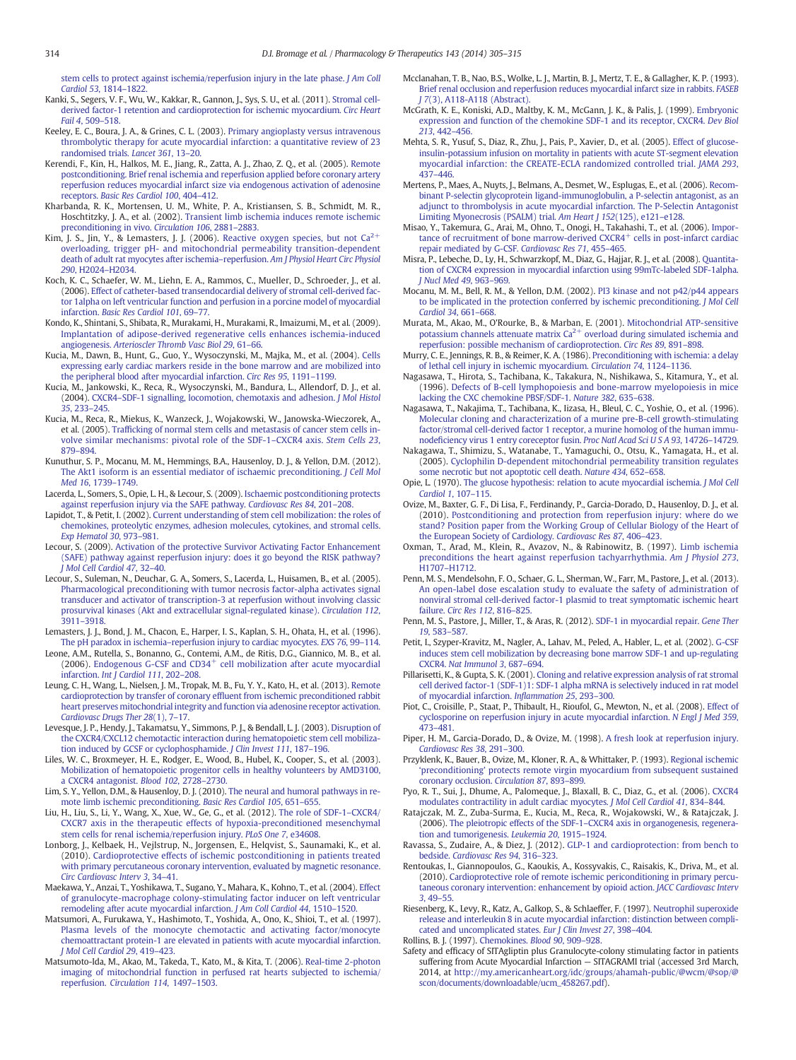<span id="page-9-0"></span>[stem cells to protect against ischemia/reperfusion injury in the late phase.](http://refhub.elsevier.com/S0163-7258(14)00070-9/rf1020) J Am Coll [Cardiol 53](http://refhub.elsevier.com/S0163-7258(14)00070-9/rf1020), 1814–1822.

- Kanki, S., Segers, V. F., Wu, W., Kakkar, R., Gannon, J., Sys, S. U., et al. (2011). [Stromal cell](http://refhub.elsevier.com/S0163-7258(14)00070-9/rf0460)[derived factor-1 retention and cardioprotection for ischemic myocardium.](http://refhub.elsevier.com/S0163-7258(14)00070-9/rf0460) Circ Heart [Fail 4](http://refhub.elsevier.com/S0163-7258(14)00070-9/rf0460), 509–518.
- Keeley, E. C., Boura, J. A., & Grines, C. L. (2003). [Primary angioplasty versus intravenous](http://refhub.elsevier.com/S0163-7258(14)00070-9/rf0465) [thrombolytic therapy for acute myocardial infarction: a quantitative review of 23](http://refhub.elsevier.com/S0163-7258(14)00070-9/rf0465) [randomised trials.](http://refhub.elsevier.com/S0163-7258(14)00070-9/rf0465) Lancet 361, 13–20.
- Kerendi, F., Kin, H., Halkos, M. E., Jiang, R., Zatta, A. J., Zhao, Z. Q., et al. (2005). [Remote](http://refhub.elsevier.com/S0163-7258(14)00070-9/rf0470) [postconditioning. Brief renal ischemia and reperfusion applied before coronary artery](http://refhub.elsevier.com/S0163-7258(14)00070-9/rf0470) [reperfusion reduces myocardial infarct size via endogenous activation of adenosine](http://refhub.elsevier.com/S0163-7258(14)00070-9/rf0470) receptors. [Basic Res Cardiol 100](http://refhub.elsevier.com/S0163-7258(14)00070-9/rf0470), 404–412.
- Kharbanda, R. K., Mortensen, U. M., White, P. A., Kristiansen, S. B., Schmidt, M. R., Hoschtitzky, J. A., et al. (2002). [Transient limb ischemia induces remote ischemic](http://refhub.elsevier.com/S0163-7258(14)00070-9/rf0475) [preconditioning in vivo.](http://refhub.elsevier.com/S0163-7258(14)00070-9/rf0475) Circulation 106, 2881–2883.
- Kim, J. S., Jin, Y., & Lemasters, J. J. (2006). [Reactive](http://refhub.elsevier.com/S0163-7258(14)00070-9/rf0480) [oxygen](http://refhub.elsevier.com/S0163-7258(14)00070-9/rf0480) [species,](http://refhub.elsevier.com/S0163-7258(14)00070-9/rf0480) [but](http://refhub.elsevier.com/S0163-7258(14)00070-9/rf0480) [not](http://refhub.elsevier.com/S0163-7258(14)00070-9/rf0480)  $Ca^{2+}$  $Ca^{2+}$ [overloading, trigger pH- and mitochondrial permeability transition-dependent](http://refhub.elsevier.com/S0163-7258(14)00070-9/rf0480) [death of adult rat myocytes after ischemia](http://refhub.elsevier.com/S0163-7258(14)00070-9/rf0480)–reperfusion. Am J Physiol Heart Circ Physiol 290[, H2024](http://refhub.elsevier.com/S0163-7258(14)00070-9/rf0480)–H2034.
- Koch, K. C., Schaefer, W. M., Liehn, E. A., Rammos, C., Mueller, D., Schroeder, J., et al. (2006). [Effect of catheter-based transendocardial delivery of stromal cell-derived fac](http://refhub.elsevier.com/S0163-7258(14)00070-9/rf0485)[tor 1alpha on left ventricular function and perfusion in a porcine model of myocardial](http://refhub.elsevier.com/S0163-7258(14)00070-9/rf0485) infarction. [Basic Res Cardiol 101](http://refhub.elsevier.com/S0163-7258(14)00070-9/rf0485), 69–77.
- Kondo, K., Shintani, S., Shibata, R., Murakami, H., Murakami, R., Imaizumi, M., et al. (2009). [Implantation of adipose-derived regenerative cells enhances ischemia-induced](http://refhub.elsevier.com/S0163-7258(14)00070-9/rf0490) angiogenesis. [Arterioscler Thromb Vasc Biol 29](http://refhub.elsevier.com/S0163-7258(14)00070-9/rf0490), 61–66.
- Kucia, M., Dawn, B., Hunt, G., Guo, Y., Wysoczynski, M., Majka, M., et al. (2004). [Cells](http://refhub.elsevier.com/S0163-7258(14)00070-9/rf0495) [expressing early cardiac markers reside in the bone marrow and are mobilized into](http://refhub.elsevier.com/S0163-7258(14)00070-9/rf0495) [the peripheral blood after myocardial infarction.](http://refhub.elsevier.com/S0163-7258(14)00070-9/rf0495) Circ Res 95, 1191–1199.
- Kucia, M., Jankowski, K., Reca, R., Wysoczynski, M., Bandura, L., Allendorf, D. J., et al. (2004). CXCR4–[SDF-1 signalling, locomotion, chemotaxis and adhesion.](http://refhub.elsevier.com/S0163-7258(14)00070-9/rf0500) J Mol Histol 35[, 233](http://refhub.elsevier.com/S0163-7258(14)00070-9/rf0500)–245.
- Kucia, M., Reca, R., Miekus, K., Wanzeck, J., Wojakowski, W., Janowska-Wieczorek, A., et al. (2005). Traffi[cking of normal stem cells and metastasis of cancer stem cells in](http://refhub.elsevier.com/S0163-7258(14)00070-9/rf0505)[volve similar mechanisms: pivotal role of the SDF-1](http://refhub.elsevier.com/S0163-7258(14)00070-9/rf0505)–CXCR4 axis. Stem Cells 23, 879–[894.](http://refhub.elsevier.com/S0163-7258(14)00070-9/rf0505)
- Kunuthur, S. P., Mocanu, M. M., Hemmings, B.A., Hausenloy, D. J., & Yellon, D.M. (2012). [The Akt1 isoform is an essential mediator of ischaemic preconditioning.](http://refhub.elsevier.com/S0163-7258(14)00070-9/rf0510) J Cell Mol [Med 16](http://refhub.elsevier.com/S0163-7258(14)00070-9/rf0510), 1739–1749.
- Lacerda, L., Somers, S., Opie, L. H., & Lecour, S. (2009). [Ischaemic postconditioning protects](http://refhub.elsevier.com/S0163-7258(14)00070-9/rf0515) [against reperfusion injury via the SAFE pathway.](http://refhub.elsevier.com/S0163-7258(14)00070-9/rf0515) Cardiovasc Res 84, 201–208.
- Lapidot, T., & Petit, I. (2002). [Current understanding of stem cell mobilization: the roles of](http://refhub.elsevier.com/S0163-7258(14)00070-9/rf0520) [chemokines, proteolytic enzymes, adhesion molecules, cytokines, and stromal cells.](http://refhub.elsevier.com/S0163-7258(14)00070-9/rf0520) [Exp Hematol 30](http://refhub.elsevier.com/S0163-7258(14)00070-9/rf0520), 973–981.
- Lecour, S. (2009). [Activation of the protective Survivor Activating Factor Enhancement](http://refhub.elsevier.com/S0163-7258(14)00070-9/rf0525) [\(SAFE\) pathway against reperfusion injury: does it go beyond the RISK pathway?](http://refhub.elsevier.com/S0163-7258(14)00070-9/rf0525) [J Mol Cell Cardiol 47](http://refhub.elsevier.com/S0163-7258(14)00070-9/rf0525), 32–40.
- Lecour, S., Suleman, N., Deuchar, G. A., Somers, S., Lacerda, L., Huisamen, B., et al. (2005). [Pharmacological preconditioning with tumor necrosis factor-alpha activates signal](http://refhub.elsevier.com/S0163-7258(14)00070-9/rf0530) [transducer and activator of transcription-3 at reperfusion without involving classic](http://refhub.elsevier.com/S0163-7258(14)00070-9/rf0530) [prosurvival kinases \(Akt and extracellular signal-regulated kinase\).](http://refhub.elsevier.com/S0163-7258(14)00070-9/rf0530) Circulation 112, 3911–[3918.](http://refhub.elsevier.com/S0163-7258(14)00070-9/rf0530)
- Lemasters, J. J., Bond, J. M., Chacon, E., Harper, I. S., Kaplan, S. H., Ohata, H., et al. (1996). The pH paradox in ischemia–[reperfusion injury to cardiac myocytes.](http://refhub.elsevier.com/S0163-7258(14)00070-9/rf0535) EXS 76, 99–114.
- Leone, A.M., Rutella, S., Bonanno, G., Contemi, A.M., de Ritis, D.G., Giannico, M. B., et al. (2006). [Endogenous](http://refhub.elsevier.com/S0163-7258(14)00070-9/rf0540) [G-CSF](http://refhub.elsevier.com/S0163-7258(14)00070-9/rf0540) [and](http://refhub.elsevier.com/S0163-7258(14)00070-9/rf0540)  $CD34<sup>+</sup>$  $CD34<sup>+</sup>$  [cell mobilization after acute myocardial](http://refhub.elsevier.com/S0163-7258(14)00070-9/rf0540) infarction. [Int J Cardiol 111](http://refhub.elsevier.com/S0163-7258(14)00070-9/rf0540), 202–208.
- Leung, C. H., Wang, L., Nielsen, J. M., Tropak, M. B., Fu, Y. Y., Kato, H., et al. (2013). [Remote](http://refhub.elsevier.com/S0163-7258(14)00070-9/rf1025) [cardioprotection by transfer of coronary ef](http://refhub.elsevier.com/S0163-7258(14)00070-9/rf1025)fluent from ischemic preconditioned rabbit [heart preserves mitochondrial integrity and function via adenosine receptor activation.](http://refhub.elsevier.com/S0163-7258(14)00070-9/rf1025) [Cardiovasc Drugs Ther 28](http://refhub.elsevier.com/S0163-7258(14)00070-9/rf1025)(1), 7–17.
- Levesque, J. P., Hendy, J., Takamatsu, Y., Simmons, P. J., & Bendall, L. J. (2003). [Disruption of](http://refhub.elsevier.com/S0163-7258(14)00070-9/rf0550) [the CXCR4/CXCL12 chemotactic interaction during hematopoietic stem cell mobiliza](http://refhub.elsevier.com/S0163-7258(14)00070-9/rf0550)[tion induced by GCSF or cyclophosphamide.](http://refhub.elsevier.com/S0163-7258(14)00070-9/rf0550) J Clin Invest 111, 187–196.
- Liles, W. C., Broxmeyer, H. E., Rodger, E., Wood, B., Hubel, K., Cooper, S., et al. (2003). [Mobilization of hematopoietic progenitor cells in healthy volunteers by AMD3100,](http://refhub.elsevier.com/S0163-7258(14)00070-9/rf0555) [a CXCR4 antagonist.](http://refhub.elsevier.com/S0163-7258(14)00070-9/rf0555) Blood 102, 2728–2730.
- Lim, S. Y., Yellon, D.M., & Hausenloy, D. J. (2010). [The neural and humoral pathways in re](http://refhub.elsevier.com/S0163-7258(14)00070-9/rf0560)[mote limb ischemic preconditioning.](http://refhub.elsevier.com/S0163-7258(14)00070-9/rf0560) Basic Res Cardiol 105, 651–655.
- Liu, H., Liu, S., Li, Y., Wang, X., Xue, W., Ge, G., et al. (2012). [The role of SDF-1](http://refhub.elsevier.com/S0163-7258(14)00070-9/rf0565)–CXCR4/ [CXCR7 axis in the therapeutic effects of hypoxia-preconditioned mesenchymal](http://refhub.elsevier.com/S0163-7258(14)00070-9/rf0565) [stem cells for renal ischemia/reperfusion injury.](http://refhub.elsevier.com/S0163-7258(14)00070-9/rf0565) PLoS One 7, e34608.
- Lonborg, J., Kelbaek, H., Vejlstrup, N., Jorgensen, E., Helqvist, S., Saunamaki, K., et al. (2010). [Cardioprotective effects of ischemic postconditioning in patients treated](http://refhub.elsevier.com/S0163-7258(14)00070-9/rf0570) [with primary percutaneous coronary intervention, evaluated by magnetic resonance.](http://refhub.elsevier.com/S0163-7258(14)00070-9/rf0570) [Circ Cardiovasc Interv 3](http://refhub.elsevier.com/S0163-7258(14)00070-9/rf0570), 34–41.
- Maekawa, Y., Anzai, T., Yoshikawa, T., Sugano, Y., Mahara, K., Kohno, T., et al. (2004). [Effect](http://refhub.elsevier.com/S0163-7258(14)00070-9/rf0575) [of granulocyte-macrophage colony-stimulating factor inducer on left ventricular](http://refhub.elsevier.com/S0163-7258(14)00070-9/rf0575) [remodeling after acute myocardial infarction.](http://refhub.elsevier.com/S0163-7258(14)00070-9/rf0575) J Am Coll Cardiol 44, 1510–1520.
- Matsumori, A., Furukawa, Y., Hashimoto, T., Yoshida, A., Ono, K., Shioi, T., et al. (1997). [Plasma levels of the monocyte chemotactic and activating factor/monocyte](http://refhub.elsevier.com/S0163-7258(14)00070-9/rf0580) [chemoattractant protein-1 are elevated in patients with acute myocardial infarction.](http://refhub.elsevier.com/S0163-7258(14)00070-9/rf0580) [J Mol Cell Cardiol 29](http://refhub.elsevier.com/S0163-7258(14)00070-9/rf0580), 419–423.
- Matsumoto-Ida, M., Akao, M., Takeda, T., Kato, M., & Kita, T. (2006). [Real-time 2-photon](http://refhub.elsevier.com/S0163-7258(14)00070-9/rf0585) [imaging of mitochondrial function in perfused rat hearts subjected to ischemia/](http://refhub.elsevier.com/S0163-7258(14)00070-9/rf0585) reperfusion. [Circulation 114](http://refhub.elsevier.com/S0163-7258(14)00070-9/rf0585), 1497–1503.
- Mcclanahan, T. B., Nao, B.S., Wolke, L. J., Martin, B. J., Mertz, T. E., & Gallagher, K. P. (1993). [Brief renal occlusion and reperfusion reduces myocardial infarct size in rabbits.](http://refhub.elsevier.com/S0163-7258(14)00070-9/rf1030) FASEB J 7[\(3\), A118-A118 \(Abstract\).](http://refhub.elsevier.com/S0163-7258(14)00070-9/rf1030)
- McGrath, K. E., Koniski, A.D., Maltby, K. M., McGann, J. K., & Palis, J. (1999). [Embryonic](http://refhub.elsevier.com/S0163-7258(14)00070-9/rf0595) [expression and function of the chemokine SDF-1 and its receptor, CXCR4.](http://refhub.elsevier.com/S0163-7258(14)00070-9/rf0595) Dev Biol 213[, 442](http://refhub.elsevier.com/S0163-7258(14)00070-9/rf0595)–456.
- Mehta, S. R., Yusuf, S., Diaz, R., Zhu, J., Pais, P., Xavier, D., et al. (2005). [Effect of glucose](http://refhub.elsevier.com/S0163-7258(14)00070-9/rf0600)[insulin-potassium infusion on mortality in patients with acute ST-segment elevation](http://refhub.elsevier.com/S0163-7258(14)00070-9/rf0600) [myocardial infarction: the CREATE-ECLA randomized controlled trial.](http://refhub.elsevier.com/S0163-7258(14)00070-9/rf0600) JAMA 293, 437–[446.](http://refhub.elsevier.com/S0163-7258(14)00070-9/rf0600)
- Mertens, P., Maes, A., Nuyts, J., Belmans, A., Desmet, W., Esplugas, E., et al. (2006). [Recom](http://refhub.elsevier.com/S0163-7258(14)00070-9/rf1035)[binant P-selectin glycoprotein ligand-immunoglobulin, a P-selectin antagonist, as an](http://refhub.elsevier.com/S0163-7258(14)00070-9/rf1035) [adjunct to thrombolysis in acute myocardial infarction. The P-Selectin Antagonist](http://refhub.elsevier.com/S0163-7258(14)00070-9/rf1035) [Limiting Myonecrosis \(PSALM\) trial.](http://refhub.elsevier.com/S0163-7258(14)00070-9/rf1035) Am Heart J 152(125), e121–e128.
- Misao, Y., Takemura, G., Arai, M., Ohno, T., Onogi, H., Takahashi, T., et al. (2006). [Impor](http://refhub.elsevier.com/S0163-7258(14)00070-9/rf0605)[tance](http://refhub.elsevier.com/S0163-7258(14)00070-9/rf0605) [of](http://refhub.elsevier.com/S0163-7258(14)00070-9/rf0605) [recruitment](http://refhub.elsevier.com/S0163-7258(14)00070-9/rf0605) of [bone](http://refhub.elsevier.com/S0163-7258(14)00070-9/rf0605) [marrow-derived](http://refhub.elsevier.com/S0163-7258(14)00070-9/rf0605) CXCR4<sup>+</sup> [cells in post-infarct cardiac](http://refhub.elsevier.com/S0163-7258(14)00070-9/rf0605) [repair mediated by G-CSF.](http://refhub.elsevier.com/S0163-7258(14)00070-9/rf0605) Cardiovasc Res 71, 455–465.
- Misra, P., Lebeche, D., Ly, H., Schwarzkopf, M., Diaz, G., Hajjar, R. J., et al. (2008). [Quantita](http://refhub.elsevier.com/S0163-7258(14)00070-9/rf0610)[tion of CXCR4 expression in myocardial infarction using 99mTc-labeled SDF-1alpha.](http://refhub.elsevier.com/S0163-7258(14)00070-9/rf0610) [J Nucl Med 49](http://refhub.elsevier.com/S0163-7258(14)00070-9/rf0610), 963–969.
- Mocanu, M. M., Bell, R. M., & Yellon, D.M. (2002). [PI3 kinase and not p42/p44 appears](http://refhub.elsevier.com/S0163-7258(14)00070-9/rf0615) [to be implicated in the protection conferred by ischemic preconditioning.](http://refhub.elsevier.com/S0163-7258(14)00070-9/rf0615) J Mol Cell [Cardiol 34](http://refhub.elsevier.com/S0163-7258(14)00070-9/rf0615), 661–668.
- Murata, M., Akao, M., O'Rourke, B., & Marban, E. (2001). [Mitochondrial ATP-sensitive](http://refhub.elsevier.com/S0163-7258(14)00070-9/rf0620) potassium channels attenuate matrix  $Ca^{2+}$  [overload during simulated ischemia and](http://refhub.elsevier.com/S0163-7258(14)00070-9/rf0620) [reperfusion: possible mechanism of cardioprotection.](http://refhub.elsevier.com/S0163-7258(14)00070-9/rf0620) Circ Res 89, 891–898.
- Murry, C. E., Jennings, R. B., & Reimer, K. A. (1986). [Preconditioning with ischemia: a delay](http://refhub.elsevier.com/S0163-7258(14)00070-9/rf0625) [of lethal cell injury in ischemic myocardium.](http://refhub.elsevier.com/S0163-7258(14)00070-9/rf0625) Circulation 74, 1124–1136.
- Nagasawa, T., Hirota, S., Tachibana, K., Takakura, N., Nishikawa, S., Kitamura, Y., et al. (1996). [Defects of B-cell lymphopoiesis and bone-marrow myelopoiesis in mice](http://refhub.elsevier.com/S0163-7258(14)00070-9/rf0630) [lacking the CXC chemokine PBSF/SDF-1.](http://refhub.elsevier.com/S0163-7258(14)00070-9/rf0630) Nature 382, 635–638.
- Nagasawa, T., Nakajima, T., Tachibana, K., Iizasa, H., Bleul, C. C., Yoshie, O., et al. (1996). [Molecular cloning and characterization of a murine pre-B-cell growth-stimulating](http://refhub.elsevier.com/S0163-7258(14)00070-9/rf0635) [factor/stromal cell-derived factor 1 receptor, a murine homolog of the human immu](http://refhub.elsevier.com/S0163-7258(14)00070-9/rf0635)nodefi[ciency virus 1 entry coreceptor fusin.](http://refhub.elsevier.com/S0163-7258(14)00070-9/rf0635) Proc Natl Acad Sci U S A 93, 14726–14729.
- Nakagawa, T., Shimizu, S., Watanabe, T., Yamaguchi, O., Otsu, K., Yamagata, H., et al. (2005). [Cyclophilin D-dependent mitochondrial permeability transition regulates](http://refhub.elsevier.com/S0163-7258(14)00070-9/rf0640) [some necrotic but not apoptotic cell death.](http://refhub.elsevier.com/S0163-7258(14)00070-9/rf0640) Nature 434, 652–658.
- Opie, L. (1970). [The glucose hypothesis: relation to acute myocardial ischemia.](http://refhub.elsevier.com/S0163-7258(14)00070-9/rf0645) J Mol Cell [Cardiol 1](http://refhub.elsevier.com/S0163-7258(14)00070-9/rf0645), 107–115.
- Ovize, M., Baxter, G. F., Di Lisa, F., Ferdinandy, P., Garcia-Dorado, D., Hausenloy, D. J., et al. (2010). [Postconditioning and protection from reperfusion injury: where do we](http://refhub.elsevier.com/S0163-7258(14)00070-9/rf0650) [stand? Position paper from the Working Group of Cellular Biology of the Heart of](http://refhub.elsevier.com/S0163-7258(14)00070-9/rf0650) [the European Society of Cardiology.](http://refhub.elsevier.com/S0163-7258(14)00070-9/rf0650) Cardiovasc Res 87, 406–423.
- Oxman, T., Arad, M., Klein, R., Avazov, N., & Rabinowitz, B. (1997). [Limb ischemia](http://refhub.elsevier.com/S0163-7258(14)00070-9/rf0655) [preconditions the heart against reperfusion tachyarrhythmia.](http://refhub.elsevier.com/S0163-7258(14)00070-9/rf0655) Am J Physiol 273, H1707–[H1712.](http://refhub.elsevier.com/S0163-7258(14)00070-9/rf0655)
- Penn, M. S., Mendelsohn, F. O., Schaer, G. L., Sherman, W., Farr, M., Pastore, J., et al. (2013). [An open-label dose escalation study to evaluate the safety of administration of](http://refhub.elsevier.com/S0163-7258(14)00070-9/rf0660) [nonviral stromal cell-derived factor-1 plasmid to treat symptomatic ischemic heart](http://refhub.elsevier.com/S0163-7258(14)00070-9/rf0660) failure. [Circ Res 112](http://refhub.elsevier.com/S0163-7258(14)00070-9/rf0660), 816–825.
- Penn, M. S., Pastore, J., Miller, T., & Aras, R. (2012). [SDF-1 in myocardial repair.](http://refhub.elsevier.com/S0163-7258(14)00070-9/rf0665) Gene Ther 19[, 583](http://refhub.elsevier.com/S0163-7258(14)00070-9/rf0665)–587.
- Petit, I., Szyper-Kravitz, M., Nagler, A., Lahav, M., Peled, A., Habler, L., et al. (2002). [G-CSF](http://refhub.elsevier.com/S0163-7258(14)00070-9/rf0670) [induces stem cell mobilization by decreasing bone marrow SDF-1 and up-regulating](http://refhub.elsevier.com/S0163-7258(14)00070-9/rf0670) CXCR4. [Nat Immunol 3](http://refhub.elsevier.com/S0163-7258(14)00070-9/rf0670), 687–694.
- Pillarisetti, K., & Gupta, S. K. (2001). [Cloning and relative expression analysis of rat stromal](http://refhub.elsevier.com/S0163-7258(14)00070-9/rf0675) [cell derived factor-1 \(SDF-1\)1: SDF-1 alpha mRNA is selectively induced in rat model](http://refhub.elsevier.com/S0163-7258(14)00070-9/rf0675) [of myocardial infarction.](http://refhub.elsevier.com/S0163-7258(14)00070-9/rf0675) Inflammation 25, 293–300.
- Piot, C., Croisille, P., Staat, P., Thibault, H., Rioufol, G., Mewton, N., et al. (2008). [Effect of](http://refhub.elsevier.com/S0163-7258(14)00070-9/rf0680) [cyclosporine on reperfusion injury in acute myocardial infarction.](http://refhub.elsevier.com/S0163-7258(14)00070-9/rf0680) N Engl J Med 359, 473–[481.](http://refhub.elsevier.com/S0163-7258(14)00070-9/rf0680)
- Piper, H. M., Garcia-Dorado, D., & Ovize, M. (1998). [A fresh look at reperfusion injury.](http://refhub.elsevier.com/S0163-7258(14)00070-9/rf0685) [Cardiovasc Res 38](http://refhub.elsevier.com/S0163-7258(14)00070-9/rf0685), 291–300.
- Przyklenk, K., Bauer, B., Ovize, M., Kloner, R. A., & Whittaker, P. (1993). [Regional ischemic](http://refhub.elsevier.com/S0163-7258(14)00070-9/rf0690) 'preconditioning' [protects remote virgin myocardium from subsequent sustained](http://refhub.elsevier.com/S0163-7258(14)00070-9/rf0690) [coronary occlusion.](http://refhub.elsevier.com/S0163-7258(14)00070-9/rf0690) Circulation 87, 893–899.
- Pyo, R. T., Sui, J., Dhume, A., Palomeque, J., Blaxall, B. C., Diaz, G., et al. (2006). [CXCR4](http://refhub.elsevier.com/S0163-7258(14)00070-9/rf0695) [modulates contractility in adult cardiac myocytes.](http://refhub.elsevier.com/S0163-7258(14)00070-9/rf0695) J Mol Cell Cardiol 41, 834–844.
- Ratajczak, M. Z., Zuba-Surma, E., Kucia, M., Reca, R., Wojakowski, W., & Ratajczak, J. (2006). The pleiotropic effects of the SDF-1–[CXCR4 axis in organogenesis, regenera](http://refhub.elsevier.com/S0163-7258(14)00070-9/rf0700)[tion and tumorigenesis.](http://refhub.elsevier.com/S0163-7258(14)00070-9/rf0700) Leukemia 20, 1915–1924.
- Ravassa, S., Zudaire, A., & Diez, J. (2012). [GLP-1 and cardioprotection: from bench to](http://refhub.elsevier.com/S0163-7258(14)00070-9/rf0705) bedside. [Cardiovasc Res 94](http://refhub.elsevier.com/S0163-7258(14)00070-9/rf0705), 316–323.
- Rentoukas, I., Giannopoulos, G., Kaoukis, A., Kossyvakis, C., Raisakis, K., Driva, M., et al. (2010). [Cardioprotective role of remote ischemic periconditioning in primary percu](http://refhub.elsevier.com/S0163-7258(14)00070-9/rf0710)[taneous coronary intervention: enhancement by opioid action.](http://refhub.elsevier.com/S0163-7258(14)00070-9/rf0710) JACC Cardiovasc Interv 3[, 49](http://refhub.elsevier.com/S0163-7258(14)00070-9/rf0710)–55.
- Riesenberg, K., Levy, R., Katz, A., Galkop, S., & Schlaeffer, F. (1997). [Neutrophil superoxide](http://refhub.elsevier.com/S0163-7258(14)00070-9/rf0715) [release and interleukin 8 in acute myocardial infarction: distinction between compli](http://refhub.elsevier.com/S0163-7258(14)00070-9/rf0715)[cated and uncomplicated states.](http://refhub.elsevier.com/S0163-7258(14)00070-9/rf0715) Eur J Clin Invest 27, 398–404.
- Rollins, B. J. (1997). [Chemokines.](http://refhub.elsevier.com/S0163-7258(14)00070-9/rf0720) Blood 90, 909–928.
- Safety and efficacy of SITAgliptin plus Granulocyte-colony stimulating factor in patients suffering from Acute Myocardial Infarction — SITAGRAMI trial (accessed 3rd March, 2014, at [http://my.americanheart.org/idc/groups/ahamah-public/@wcm/@sop/@](http://my.americanheart.org/idc/groups/ahamah-public/@wcm/@sop/@scon/documents/downloadable/ucm_458267.pdf) [scon/documents/downloadable/ucm\\_458267.pdf](http://my.americanheart.org/idc/groups/ahamah-public/@wcm/@sop/@scon/documents/downloadable/ucm_458267.pdf)).